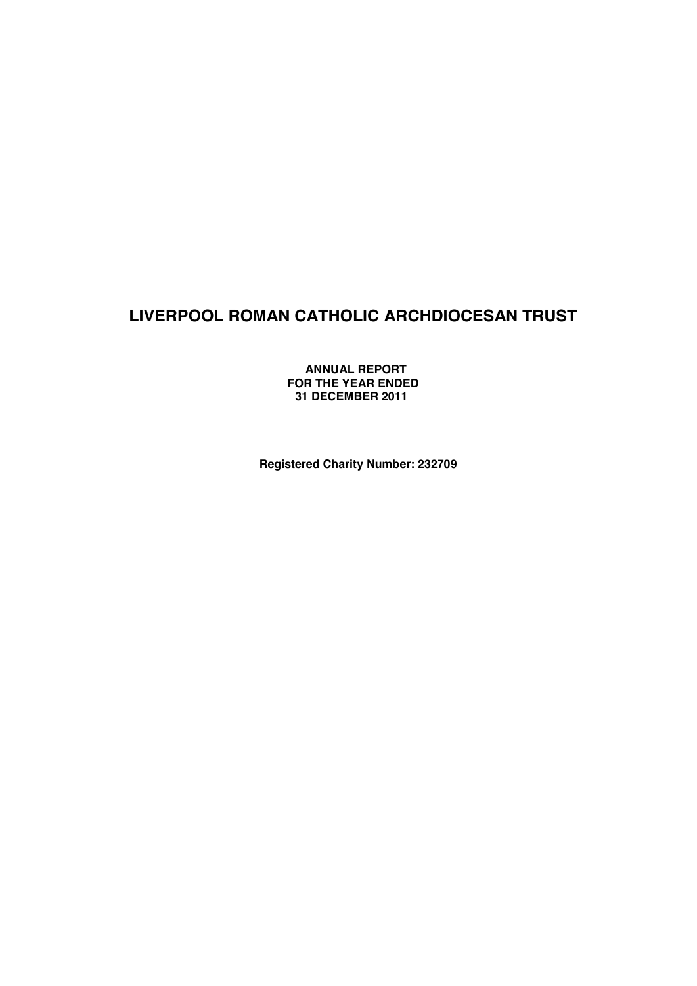**ANNUAL REPORT FOR THE YEAR ENDED 31 DECEMBER 2011**

**Registered Charity Number: 232709**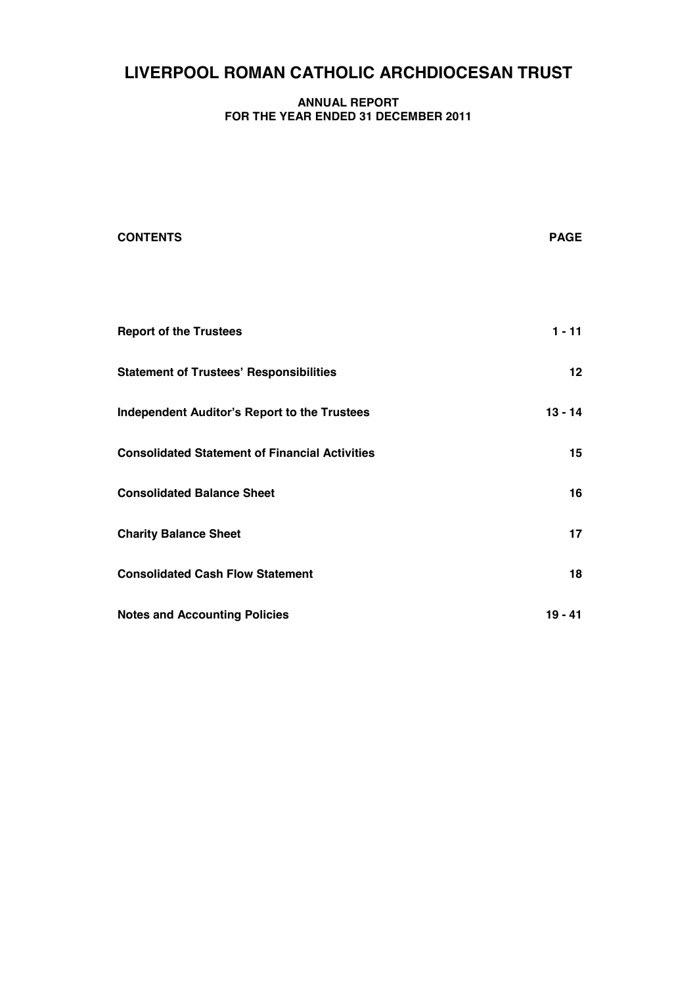# **ANNUAL REPORT FOR THE YEAR ENDED 31 DECEMBER 2011**

| <b>CONTENTS</b>                                       | <b>PAGE</b>     |
|-------------------------------------------------------|-----------------|
|                                                       |                 |
| <b>Report of the Trustees</b>                         | $1 - 11$        |
| <b>Statement of Trustees' Responsibilities</b>        | 12 <sup>2</sup> |
| Independent Auditor's Report to the Trustees          | $13 - 14$       |
| <b>Consolidated Statement of Financial Activities</b> | 15              |
| <b>Consolidated Balance Sheet</b>                     | 16              |
| <b>Charity Balance Sheet</b>                          | 17              |
| <b>Consolidated Cash Flow Statement</b>               | 18              |
| <b>Notes and Accounting Policies</b>                  | $19 - 41$       |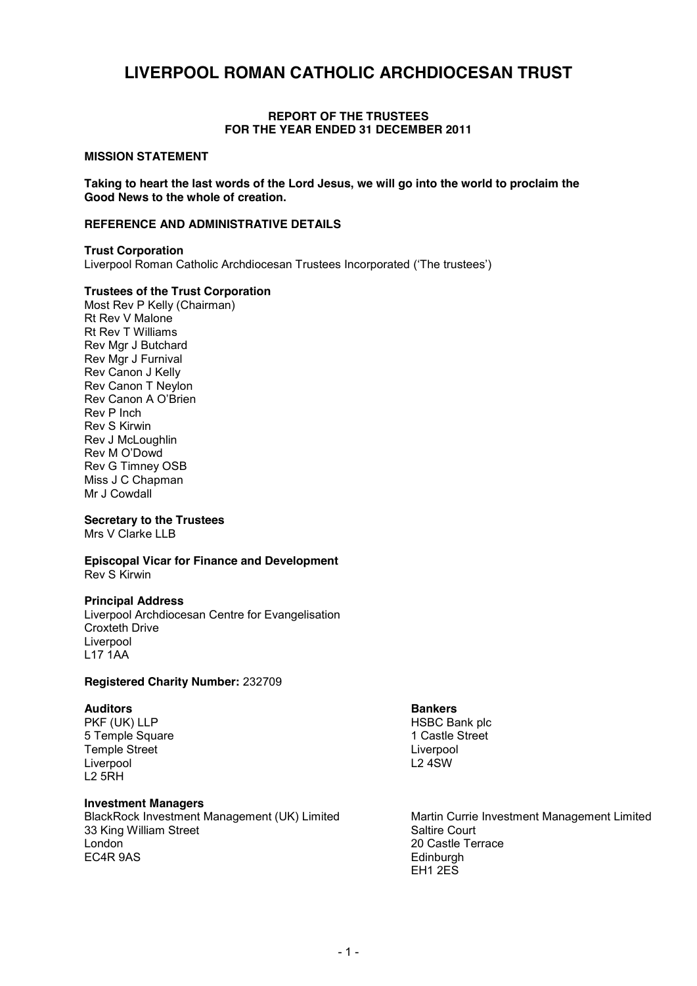### **REPORT OF THE TRUSTEES FOR THE YEAR ENDED 31 DECEMBER 2011**

#### **MISSION STATEMENT**

**Taking to heart the last words of the Lord Jesus, we will go into the world to proclaim the Good News to the whole of creation.**

# **REFERENCE AND ADMINISTRATIVE DETAILS**

**Trust Corporation** Liverpool Roman Catholic Archdiocesan Trustees Incorporated ('The trustees')

#### **Trustees of the Trust Corporation**

Most Rev P Kelly (Chairman) Rt Rev V Malone Rt Rev T Williams Rev Mgr J Butchard Rev Mgr J Furnival Rev Canon J Kelly Rev Canon T Neylon Rev Canon A O'Brien Rev P Inch Rev S Kirwin Rev J McLoughlin Rev M O'Dowd Rev G Timney OSB Miss J C Chapman Mr J Cowdall

#### **Secretary to the Trustees**

Mrs V Clarke LLB

### **Episcopal Vicar for Finance and Development** Rev S Kirwin

#### **Principal Address**

Liverpool Archdiocesan Centre for Evangelisation Croxteth Drive Liverpool L17 1AA

#### **Registered Charity Number:** 232709

**Auditors Bankers** 5 Temple Square Temple Street **Liverpool** Liverpool L2 4SW L2 5RH

#### **Investment Managers**

33 King William Street London 20 Castle Terrace

HSBC Bank plc<br>1 Castle Street

BlackRock Investment Management (UK) Limited Martin Currie Investment Management Limited<br>33 King William Street Edinburgh EH1 2ES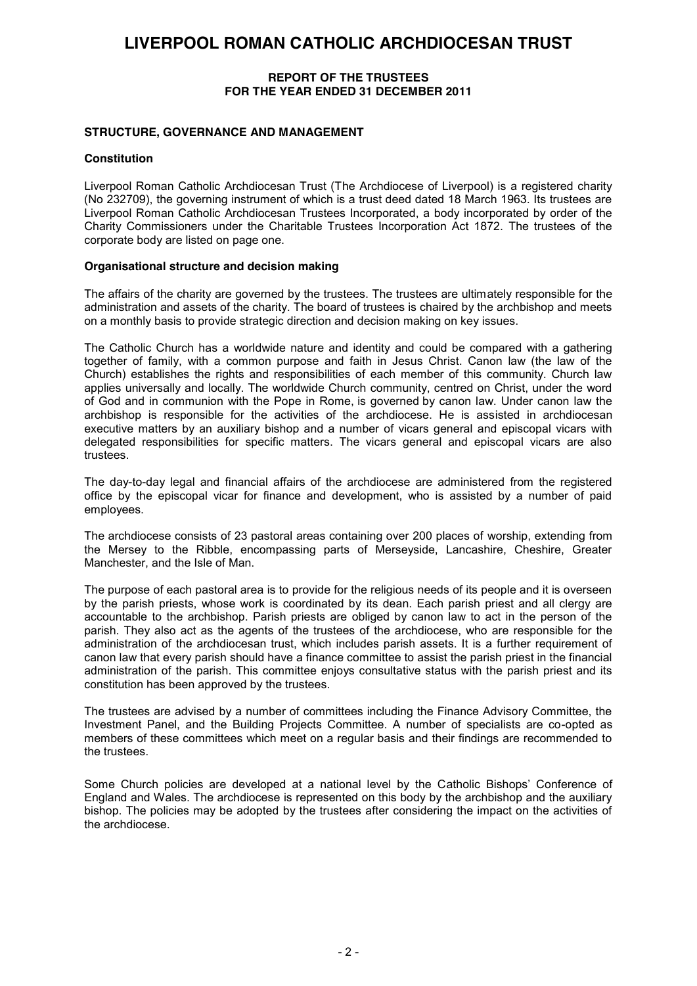# **REPORT OF THE TRUSTEES FOR THE YEAR ENDED 31 DECEMBER 2011**

### **STRUCTURE, GOVERNANCE AND MANAGEMENT**

#### **Constitution**

Liverpool Roman Catholic Archdiocesan Trust (The Archdiocese of Liverpool) is a registered charity (No 232709), the governing instrument of which is a trust deed dated 18 March 1963. Its trustees are Liverpool Roman Catholic Archdiocesan Trustees Incorporated, a body incorporated by order of the Charity Commissioners under the Charitable Trustees Incorporation Act 1872. The trustees of the corporate body are listed on page one.

#### **Organisational structure and decision making**

The affairs of the charity are governed by the trustees. The trustees are ultimately responsible for the administration and assets of the charity. The board of trustees is chaired by the archbishop and meets on a monthly basis to provide strategic direction and decision making on key issues.

The Catholic Church has a worldwide nature and identity and could be compared with a gathering together of family, with a common purpose and faith in Jesus Christ. Canon law (the law of the Church) establishes the rights and responsibilities of each member of this community. Church law applies universally and locally. The worldwide Church community, centred on Christ, under the word of God and in communion with the Pope in Rome, is governed by canon law. Under canon law the archbishop is responsible for the activities of the archdiocese. He is assisted in archdiocesan executive matters by an auxiliary bishop and a number of vicars general and episcopal vicars with delegated responsibilities for specific matters. The vicars general and episcopal vicars are also trustees.

The day-to-day legal and financial affairs of the archdiocese are administered from the registered office by the episcopal vicar for finance and development, who is assisted by a number of paid employees.

The archdiocese consists of 23 pastoral areas containing over 200 places of worship, extending from the Mersey to the Ribble, encompassing parts of Merseyside, Lancashire, Cheshire, Greater Manchester, and the Isle of Man.

The purpose of each pastoral area is to provide for the religious needs of its people and it is overseen by the parish priests, whose work is coordinated by its dean. Each parish priest and all clergy are accountable to the archbishop. Parish priests are obliged by canon law to act in the person of the parish. They also act as the agents of the trustees of the archdiocese, who are responsible for the administration of the archdiocesan trust, which includes parish assets. It is a further requirement of canon law that every parish should have a finance committee to assist the parish priest in the financial administration of the parish. This committee enjoys consultative status with the parish priest and its constitution has been approved by the trustees.

The trustees are advised by a number of committees including the Finance Advisory Committee, the Investment Panel, and the Building Projects Committee. A number of specialists are co-opted as members of these committees which meet on a regular basis and their findings are recommended to the trustees.

Some Church policies are developed at a national level by the Catholic Bishops' Conference of England and Wales. The archdiocese is represented on this body by the archbishop and the auxiliary bishop. The policies may be adopted by the trustees after considering the impact on the activities of the archdiocese.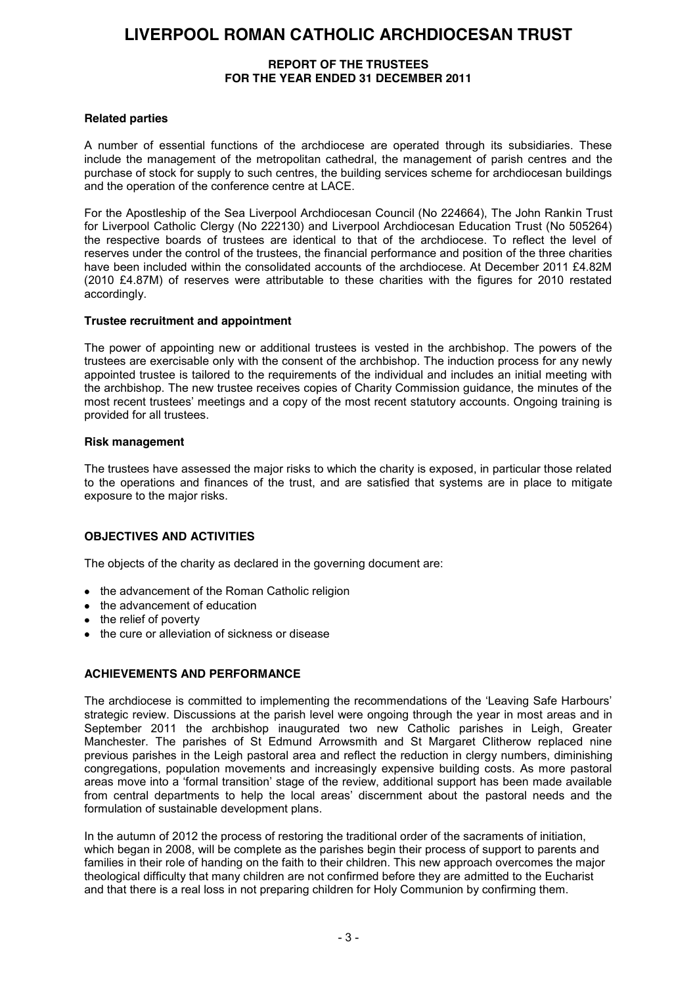# **REPORT OF THE TRUSTEES FOR THE YEAR ENDED 31 DECEMBER 2011**

# **Related parties**

A number of essential functions of the archdiocese are operated through its subsidiaries. These include the management of the metropolitan cathedral, the management of parish centres and the purchase of stock for supply to such centres, the building services scheme for archdiocesan buildings and the operation of the conference centre at LACE.

For the Apostleship of the Sea Liverpool Archdiocesan Council (No 224664), The John Rankin Trust for Liverpool Catholic Clergy (No 222130) and Liverpool Archdiocesan Education Trust (No 505264) the respective boards of trustees are identical to that of the archdiocese. To reflect the level of reserves under the control of the trustees, the financial performance and position of the three charities have been included within the consolidated accounts of the archdiocese. At December 2011 £4.82M (2010 £4.87M) of reserves were attributable to these charities with the figures for 2010 restated accordingly.

#### **Trustee recruitment and appointment**

The power of appointing new or additional trustees is vested in the archbishop. The powers of the trustees are exercisable only with the consent of the archbishop. The induction process for any newly appointed trustee is tailored to the requirements of the individual and includes an initial meeting with the archbishop. The new trustee receives copies of Charity Commission guidance, the minutes of the most recent trustees' meetings and a copy of the most recent statutory accounts. Ongoing training is provided for all trustees.

### **Risk management**

The trustees have assessed the major risks to which the charity is exposed, in particular those related to the operations and finances of the trust, and are satisfied that systems are in place to mitigate exposure to the major risks.

# **OBJECTIVES AND ACTIVITIES**

The objects of the charity as declared in the governing document are:

- the advancement of the Roman Catholic religion
- the advancement of education
- the relief of poverty
- the cure or alleviation of sickness or disease

# **ACHIEVEMENTS AND PERFORMANCE**

The archdiocese is committed to implementing the recommendations of the 'Leaving Safe Harbours' strategic review. Discussions at the parish level were ongoing through the year in most areas and in September 2011 the archbishop inaugurated two new Catholic parishes in Leigh, Greater Manchester. The parishes of St Edmund Arrowsmith and St Margaret Clitherow replaced nine previous parishes in the Leigh pastoral area and reflect the reduction in clergy numbers, diminishing congregations, population movements and increasingly expensive building costs. As more pastoral areas move into a 'formal transition' stage of the review, additional support has been made available from central departments to help the local areas' discernment about the pastoral needs and the formulation of sustainable development plans.

In the autumn of 2012 the process of restoring the traditional order of the sacraments of initiation, which began in 2008, will be complete as the parishes begin their process of support to parents and families in their role of handing on the faith to their children. This new approach overcomes the major theological difficulty that many children are not confirmed before they are admitted to the Eucharist and that there is a real loss in not preparing children for Holy Communion by confirming them.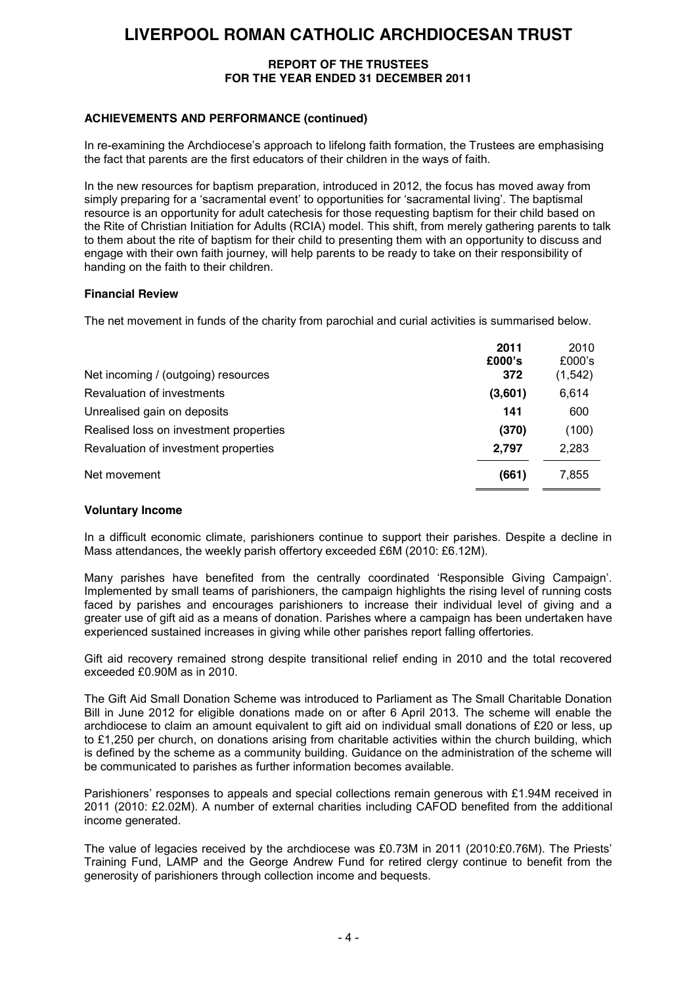### **REPORT OF THE TRUSTEES FOR THE YEAR ENDED 31 DECEMBER 2011**

# **ACHIEVEMENTS AND PERFORMANCE (continued)**

In re-examining the Archdiocese's approach to lifelong faith formation, the Trustees are emphasising the fact that parents are the first educators of their children in the ways of faith.

In the new resources for baptism preparation, introduced in 2012, the focus has moved away from simply preparing for a 'sacramental event' to opportunities for 'sacramental living'. The baptismal resource is an opportunity for adult catechesis for those requesting baptism for their child based on the Rite of Christian Initiation for Adults (RCIA) model. This shift, from merely gathering parents to talk to them about the rite of baptism for their child to presenting them with an opportunity to discuss and engage with their own faith journey, will help parents to be ready to take on their responsibility of handing on the faith to their children.

# **Financial Review**

The net movement in funds of the charity from parochial and curial activities is summarised below.

|                                        | 2011    | 2010     |
|----------------------------------------|---------|----------|
|                                        | £000's  | £000's   |
| Net incoming / (outgoing) resources    | 372     | (1, 542) |
| Revaluation of investments             | (3,601) | 6,614    |
| Unrealised gain on deposits            | 141     | 600      |
| Realised loss on investment properties | (370)   | (100)    |
| Revaluation of investment properties   | 2.797   | 2,283    |
| Net movement                           | (661)   | 7,855    |

# **Voluntary Income**

In a difficult economic climate, parishioners continue to support their parishes. Despite a decline in Mass attendances, the weekly parish offertory exceeded £6M (2010: £6.12M).

Many parishes have benefited from the centrally coordinated 'Responsible Giving Campaign'. Implemented by small teams of parishioners, the campaign highlights the rising level of running costs faced by parishes and encourages parishioners to increase their individual level of giving and a greater use of gift aid as a means of donation. Parishes where a campaign has been undertaken have experienced sustained increases in giving while other parishes report falling offertories.

Gift aid recovery remained strong despite transitional relief ending in 2010 and the total recovered exceeded £0.90M as in 2010.

The Gift Aid Small Donation Scheme was introduced to Parliament as The Small Charitable Donation Bill in June 2012 for eligible donations made on or after 6 April 2013. The scheme will enable the archdiocese to claim an amount equivalent to gift aid on individual small donations of £20 or less, up to £1,250 per church, on donations arising from charitable activities within the church building, which is defined by the scheme as a community building. Guidance on the administration of the scheme will be communicated to parishes as further information becomes available.

Parishioners' responses to appeals and special collections remain generous with £1.94M received in 2011 (2010: £2.02M). A number of external charities including CAFOD benefited from the additional income generated.

The value of legacies received by the archdiocese was £0.73M in 2011 (2010:£0.76M). The Priests' Training Fund, LAMP and the George Andrew Fund for retired clergy continue to benefit from the generosity of parishioners through collection income and bequests.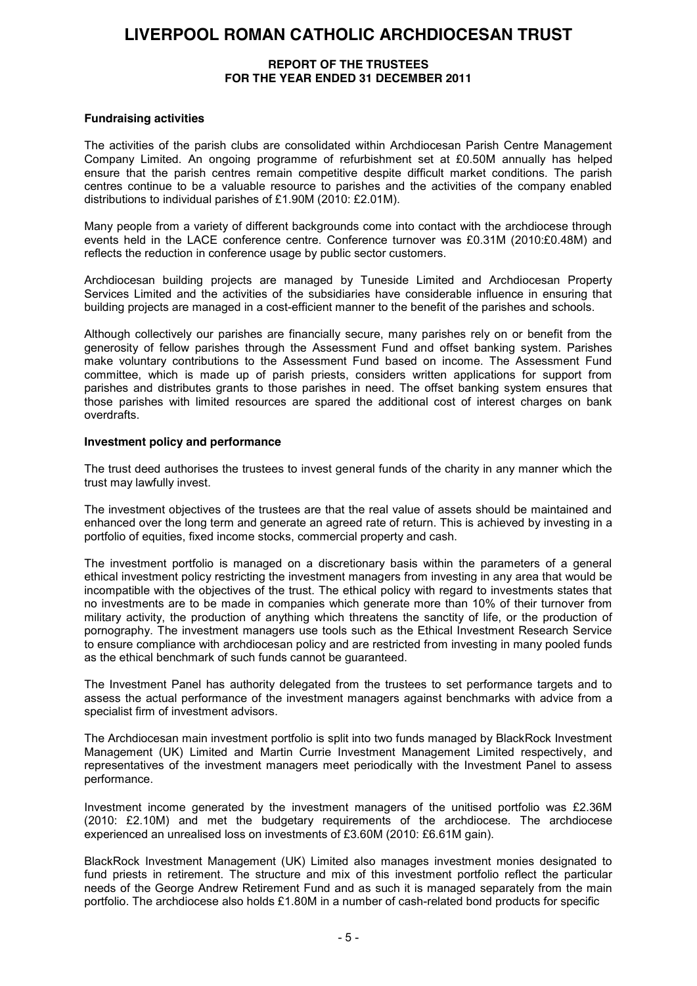### **REPORT OF THE TRUSTEES FOR THE YEAR ENDED 31 DECEMBER 2011**

### **Fundraising activities**

The activities of the parish clubs are consolidated within Archdiocesan Parish Centre Management Company Limited. An ongoing programme of refurbishment set at £0.50M annually has helped ensure that the parish centres remain competitive despite difficult market conditions. The parish centres continue to be a valuable resource to parishes and the activities of the company enabled distributions to individual parishes of £1.90M (2010: £2.01M).

Many people from a variety of different backgrounds come into contact with the archdiocese through events held in the LACE conference centre. Conference turnover was £0.31M (2010:£0.48M) and reflects the reduction in conference usage by public sector customers.

Archdiocesan building projects are managed by Tuneside Limited and Archdiocesan Property Services Limited and the activities of the subsidiaries have considerable influence in ensuring that building projects are managed in a cost-efficient manner to the benefit of the parishes and schools.

Although collectively our parishes are financially secure, many parishes rely on or benefit from the generosity of fellow parishes through the Assessment Fund and offset banking system. Parishes make voluntary contributions to the Assessment Fund based on income. The Assessment Fund committee, which is made up of parish priests, considers written applications for support from parishes and distributes grants to those parishes in need. The offset banking system ensures that those parishes with limited resources are spared the additional cost of interest charges on bank overdrafts.

### **Investment policy and performance**

The trust deed authorises the trustees to invest general funds of the charity in any manner which the trust may lawfully invest.

The investment objectives of the trustees are that the real value of assets should be maintained and enhanced over the long term and generate an agreed rate of return. This is achieved by investing in a portfolio of equities, fixed income stocks, commercial property and cash.

The investment portfolio is managed on a discretionary basis within the parameters of a general ethical investment policy restricting the investment managers from investing in any area that would be incompatible with the objectives of the trust. The ethical policy with regard to investments states that no investments are to be made in companies which generate more than 10% of their turnover from military activity, the production of anything which threatens the sanctity of life, or the production of pornography. The investment managers use tools such as the Ethical Investment Research Service to ensure compliance with archdiocesan policy and are restricted from investing in many pooled funds as the ethical benchmark of such funds cannot be guaranteed.

The Investment Panel has authority delegated from the trustees to set performance targets and to assess the actual performance of the investment managers against benchmarks with advice from a specialist firm of investment advisors.

The Archdiocesan main investment portfolio is split into two funds managed by BlackRock Investment Management (UK) Limited and Martin Currie Investment Management Limited respectively, and representatives of the investment managers meet periodically with the Investment Panel to assess performance.

Investment income generated by the investment managers of the unitised portfolio was £2.36M (2010: £2.10M) and met the budgetary requirements of the archdiocese. The archdiocese experienced an unrealised loss on investments of £3.60M (2010: £6.61M gain).

BlackRock Investment Management (UK) Limited also manages investment monies designated to fund priests in retirement. The structure and mix of this investment portfolio reflect the particular needs of the George Andrew Retirement Fund and as such it is managed separately from the main portfolio. The archdiocese also holds £1.80M in a number of cash-related bond products for specific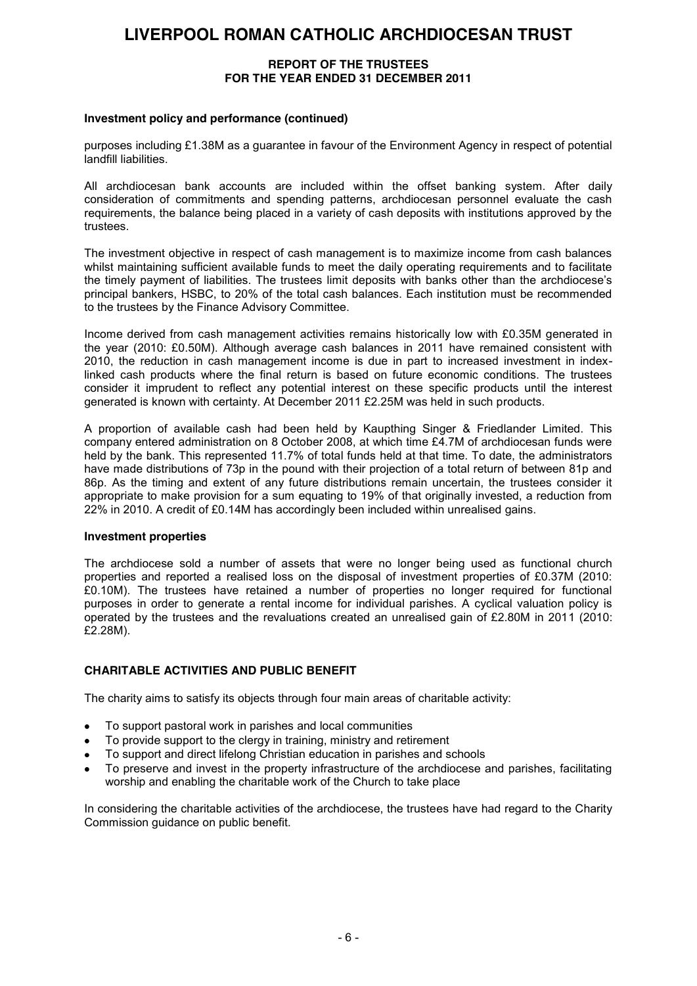#### **REPORT OF THE TRUSTEES FOR THE YEAR ENDED 31 DECEMBER 2011**

### **Investment policy and performance (continued)**

purposes including £1.38M as a guarantee in favour of the Environment Agency in respect of potential landfill liabilities.

All archdiocesan bank accounts are included within the offset banking system. After daily consideration of commitments and spending patterns, archdiocesan personnel evaluate the cash requirements, the balance being placed in a variety of cash deposits with institutions approved by the trustees.

The investment objective in respect of cash management is to maximize income from cash balances whilst maintaining sufficient available funds to meet the daily operating requirements and to facilitate the timely payment of liabilities. The trustees limit deposits with banks other than the archdiocese's principal bankers, HSBC, to 20% of the total cash balances. Each institution must be recommended to the trustees by the Finance Advisory Committee.

Income derived from cash management activities remains historically low with £0.35M generated in the year (2010: £0.50M). Although average cash balances in 2011 have remained consistent with 2010, the reduction in cash management income is due in part to increased investment in indexlinked cash products where the final return is based on future economic conditions. The trustees consider it imprudent to reflect any potential interest on these specific products until the interest generated is known with certainty. At December 2011 £2.25M was held in such products.

A proportion of available cash had been held by Kaupthing Singer & Friedlander Limited. This company entered administration on 8 October 2008, at which time £4.7M of archdiocesan funds were held by the bank. This represented 11.7% of total funds held at that time. To date, the administrators have made distributions of 73p in the pound with their projection of a total return of between 81p and 86p. As the timing and extent of any future distributions remain uncertain, the trustees consider it appropriate to make provision for a sum equating to 19% of that originally invested, a reduction from 22% in 2010. A credit of £0.14M has accordingly been included within unrealised gains.

#### **Investment properties**

The archdiocese sold a number of assets that were no longer being used as functional church properties and reported a realised loss on the disposal of investment properties of £0.37M (2010: £0.10M). The trustees have retained a number of properties no longer required for functional purposes in order to generate a rental income for individual parishes. A cyclical valuation policy is operated by the trustees and the revaluations created an unrealised gain of £2.80M in 2011 (2010: £2.28M).

# **CHARITABLE ACTIVITIES AND PUBLIC BENEFIT**

The charity aims to satisfy its objects through four main areas of charitable activity:

- To support pastoral work in parishes and local communities
- To provide support to the clergy in training, ministry and retirement
- To support and direct lifelong Christian education in parishes and schools
- To preserve and invest in the property infrastructure of the archdiocese and parishes, facilitating worship and enabling the charitable work of the Church to take place

In considering the charitable activities of the archdiocese, the trustees have had regard to the Charity Commission guidance on public benefit.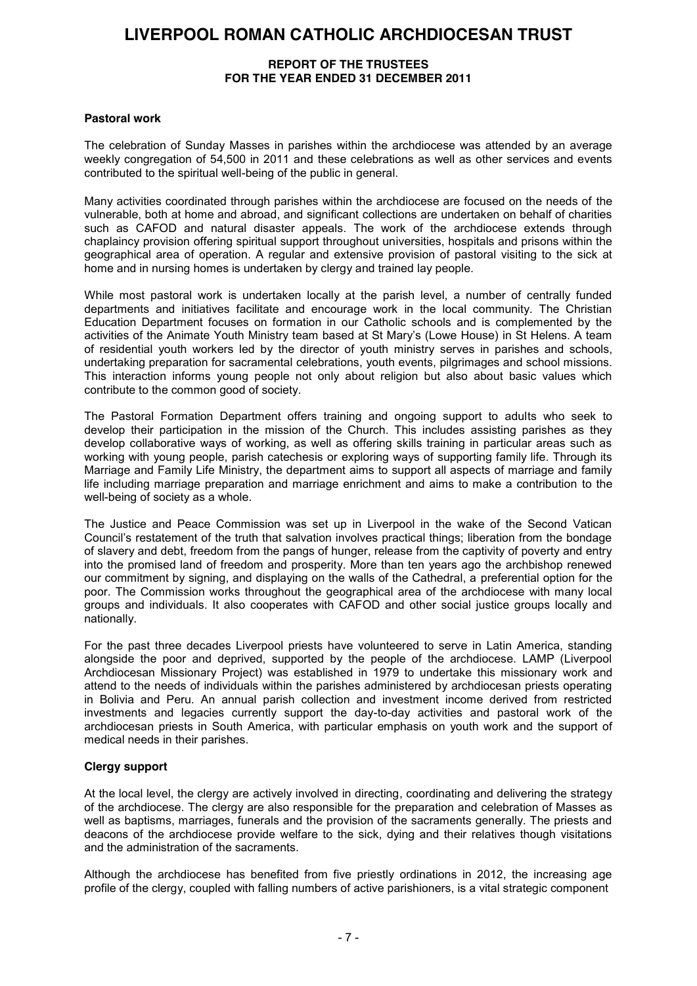### **REPORT OF THE TRUSTEES FOR THE YEAR ENDED 31 DECEMBER 2011**

# **Pastoral work**

The celebration of Sunday Masses in parishes within the archdiocese was attended by an average weekly congregation of 54,500 in 2011 and these celebrations as well as other services and events contributed to the spiritual well-being of the public in general.

Many activities coordinated through parishes within the archdiocese are focused on the needs of the vulnerable, both at home and abroad, and significant collections are undertaken on behalf of charities such as CAFOD and natural disaster appeals. The work of the archdiocese extends through chaplaincy provision offering spiritual support throughout universities, hospitals and prisons within the geographical area of operation. A regular and extensive provision of pastoral visiting to the sick at home and in nursing homes is undertaken by clergy and trained lay people.

While most pastoral work is undertaken locally at the parish level, a number of centrally funded departments and initiatives facilitate and encourage work in the local community. The Christian Education Department focuses on formation in our Catholic schools and is complemented by the activities of the Animate Youth Ministry team based at St Mary's (Lowe House) in St Helens. A team of residential youth workers led by the director of youth ministry serves in parishes and schools, undertaking preparation for sacramental celebrations, youth events, pilgrimages and school missions. This interaction informs young people not only about religion but also about basic values which contribute to the common good of society.

The Pastoral Formation Department offers training and ongoing support to adults who seek to develop their participation in the mission of the Church. This includes assisting parishes as they develop collaborative ways of working, as well as offering skills training in particular areas such as working with young people, parish catechesis or exploring ways of supporting family life. Through its Marriage and Family Life Ministry, the department aims to support all aspects of marriage and family life including marriage preparation and marriage enrichment and aims to make a contribution to the well-being of society as a whole.

The Justice and Peace Commission was set up in Liverpool in the wake of the Second Vatican Council's restatement of the truth that salvation involves practical things; liberation from the bondage of slavery and debt, freedom from the pangs of hunger, release from the captivity of poverty and entry into the promised land of freedom and prosperity. More than ten years ago the archbishop renewed our commitment by signing, and displaying on the walls of the Cathedral, a preferential option for the poor. The Commission works throughout the geographical area of the archdiocese with many local groups and individuals. It also cooperates with CAFOD and other social justice groups locally and nationally.

For the past three decades Liverpool priests have volunteered to serve in Latin America, standing alongside the poor and deprived, supported by the people of the archdiocese. LAMP (Liverpool Archdiocesan Missionary Project) was established in 1979 to undertake this missionary work and attend to the needs of individuals within the parishes administered by archdiocesan priests operating in Bolivia and Peru. An annual parish collection and investment income derived from restricted investments and legacies currently support the day-to-day activities and pastoral work of the archdiocesan priests in South America, with particular emphasis on youth work and the support of medical needs in their parishes.

# **Clergy support**

At the local level, the clergy are actively involved in directing, coordinating and delivering the strategy of the archdiocese. The clergy are also responsible for the preparation and celebration of Masses as well as baptisms, marriages, funerals and the provision of the sacraments generally. The priests and deacons of the archdiocese provide welfare to the sick, dying and their relatives though visitations and the administration of the sacraments.

Although the archdiocese has benefited from five priestly ordinations in 2012, the increasing age profile of the clergy, coupled with falling numbers of active parishioners, is a vital strategic component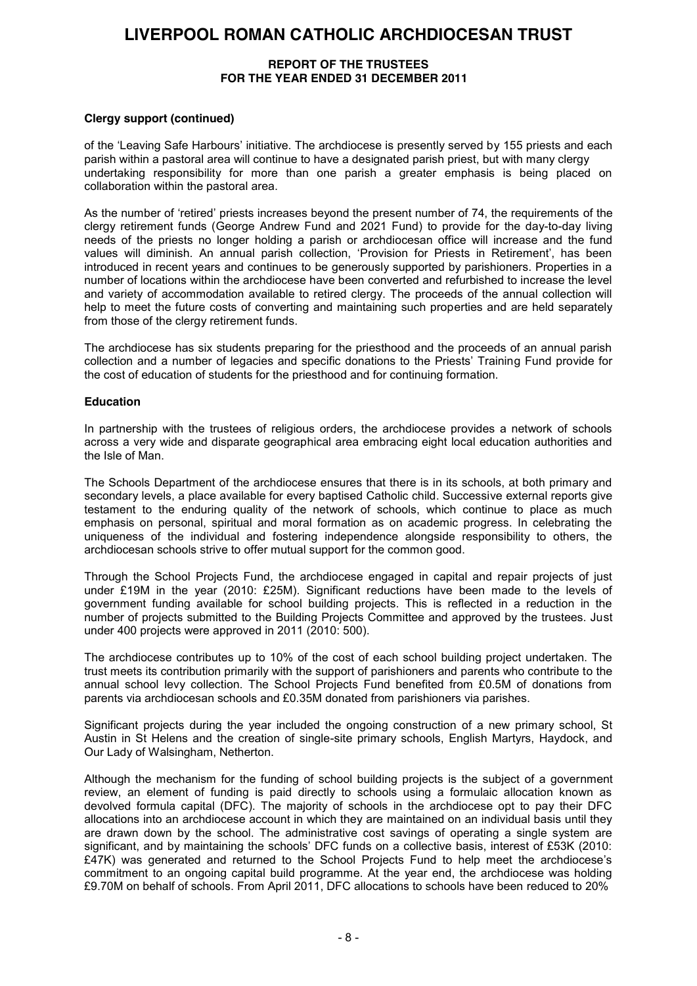### **REPORT OF THE TRUSTEES FOR THE YEAR ENDED 31 DECEMBER 2011**

# **Clergy support (continued)**

of the 'Leaving Safe Harbours' initiative. The archdiocese is presently served by 155 priests and each parish within a pastoral area will continue to have a designated parish priest, but with many clergy undertaking responsibility for more than one parish a greater emphasis is being placed on collaboration within the pastoral area.

As the number of 'retired' priests increases beyond the present number of 74, the requirements of the clergy retirement funds (George Andrew Fund and 2021 Fund) to provide for the day-to-day living needs of the priests no longer holding a parish or archdiocesan office will increase and the fund values will diminish. An annual parish collection, 'Provision for Priests in Retirement', has been introduced in recent years and continues to be generously supported by parishioners. Properties in a number of locations within the archdiocese have been converted and refurbished to increase the level and variety of accommodation available to retired clergy. The proceeds of the annual collection will help to meet the future costs of converting and maintaining such properties and are held separately from those of the clergy retirement funds.

The archdiocese has six students preparing for the priesthood and the proceeds of an annual parish collection and a number of legacies and specific donations to the Priests' Training Fund provide for the cost of education of students for the priesthood and for continuing formation.

# **Education**

In partnership with the trustees of religious orders, the archdiocese provides a network of schools across a very wide and disparate geographical area embracing eight local education authorities and the Isle of Man.

The Schools Department of the archdiocese ensures that there is in its schools, at both primary and secondary levels, a place available for every baptised Catholic child. Successive external reports give testament to the enduring quality of the network of schools, which continue to place as much emphasis on personal, spiritual and moral formation as on academic progress. In celebrating the uniqueness of the individual and fostering independence alongside responsibility to others, the archdiocesan schools strive to offer mutual support for the common good.

Through the School Projects Fund, the archdiocese engaged in capital and repair projects of just under £19M in the year (2010: £25M). Significant reductions have been made to the levels of government funding available for school building projects. This is reflected in a reduction in the number of projects submitted to the Building Projects Committee and approved by the trustees. Just under 400 projects were approved in 2011 (2010: 500).

The archdiocese contributes up to 10% of the cost of each school building project undertaken. The trust meets its contribution primarily with the support of parishioners and parents who contribute to the annual school levy collection. The School Projects Fund benefited from £0.5M of donations from parents via archdiocesan schools and £0.35M donated from parishioners via parishes.

Significant projects during the year included the ongoing construction of a new primary school, St Austin in St Helens and the creation of single-site primary schools, English Martyrs, Haydock, and Our Lady of Walsingham, Netherton.

Although the mechanism for the funding of school building projects is the subject of a government review, an element of funding is paid directly to schools using a formulaic allocation known as devolved formula capital (DFC). The majority of schools in the archdiocese opt to pay their DFC allocations into an archdiocese account in which they are maintained on an individual basis until they are drawn down by the school. The administrative cost savings of operating a single system are significant, and by maintaining the schools' DFC funds on a collective basis, interest of £53K (2010: £47K) was generated and returned to the School Projects Fund to help meet the archdiocese's commitment to an ongoing capital build programme. At the year end, the archdiocese was holding £9.70M on behalf of schools. From April 2011, DFC allocations to schools have been reduced to 20%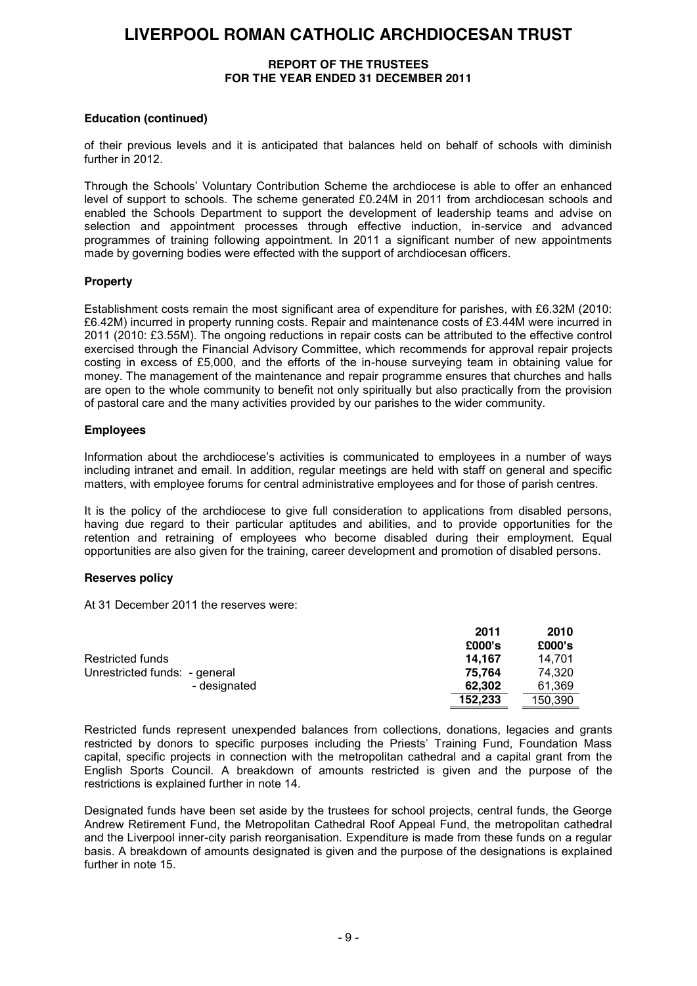### **REPORT OF THE TRUSTEES FOR THE YEAR ENDED 31 DECEMBER 2011**

# **Education (continued)**

of their previous levels and it is anticipated that balances held on behalf of schools with diminish further in 2012.

Through the Schools' Voluntary Contribution Scheme the archdiocese is able to offer an enhanced level of support to schools. The scheme generated £0.24M in 2011 from archdiocesan schools and enabled the Schools Department to support the development of leadership teams and advise on selection and appointment processes through effective induction, in-service and advanced programmes of training following appointment. In 2011 a significant number of new appointments made by governing bodies were effected with the support of archdiocesan officers.

# **Property**

Establishment costs remain the most significant area of expenditure for parishes, with £6.32M (2010: £6.42M) incurred in property running costs. Repair and maintenance costs of £3.44M were incurred in 2011 (2010: £3.55M). The ongoing reductions in repair costs can be attributed to the effective control exercised through the Financial Advisory Committee, which recommends for approval repair projects costing in excess of £5,000, and the efforts of the in-house surveying team in obtaining value for money. The management of the maintenance and repair programme ensures that churches and halls are open to the whole community to benefit not only spiritually but also practically from the provision of pastoral care and the many activities provided by our parishes to the wider community.

# **Employees**

Information about the archdiocese's activities is communicated to employees in a number of ways including intranet and email. In addition, regular meetings are held with staff on general and specific matters, with employee forums for central administrative employees and for those of parish centres.

It is the policy of the archdiocese to give full consideration to applications from disabled persons, having due regard to their particular aptitudes and abilities, and to provide opportunities for the retention and retraining of employees who become disabled during their employment. Equal opportunities are also given for the training, career development and promotion of disabled persons.

# **Reserves policy**

At 31 December 2011 the reserves were:

|                               | 2011    | 2010    |
|-------------------------------|---------|---------|
|                               | £000's  | £000's  |
| Restricted funds              | 14.167  | 14.701  |
| Unrestricted funds: - general | 75.764  | 74.320  |
| - designated                  | 62.302  | 61,369  |
|                               | 152.233 | 150,390 |

Restricted funds represent unexpended balances from collections, donations, legacies and grants restricted by donors to specific purposes including the Priests' Training Fund, Foundation Mass capital, specific projects in connection with the metropolitan cathedral and a capital grant from the English Sports Council. A breakdown of amounts restricted is given and the purpose of the restrictions is explained further in note 14.

Designated funds have been set aside by the trustees for school projects, central funds, the George Andrew Retirement Fund, the Metropolitan Cathedral Roof Appeal Fund, the metropolitan cathedral and the Liverpool inner-city parish reorganisation. Expenditure is made from these funds on a regular basis. A breakdown of amounts designated is given and the purpose of the designations is explained further in note 15.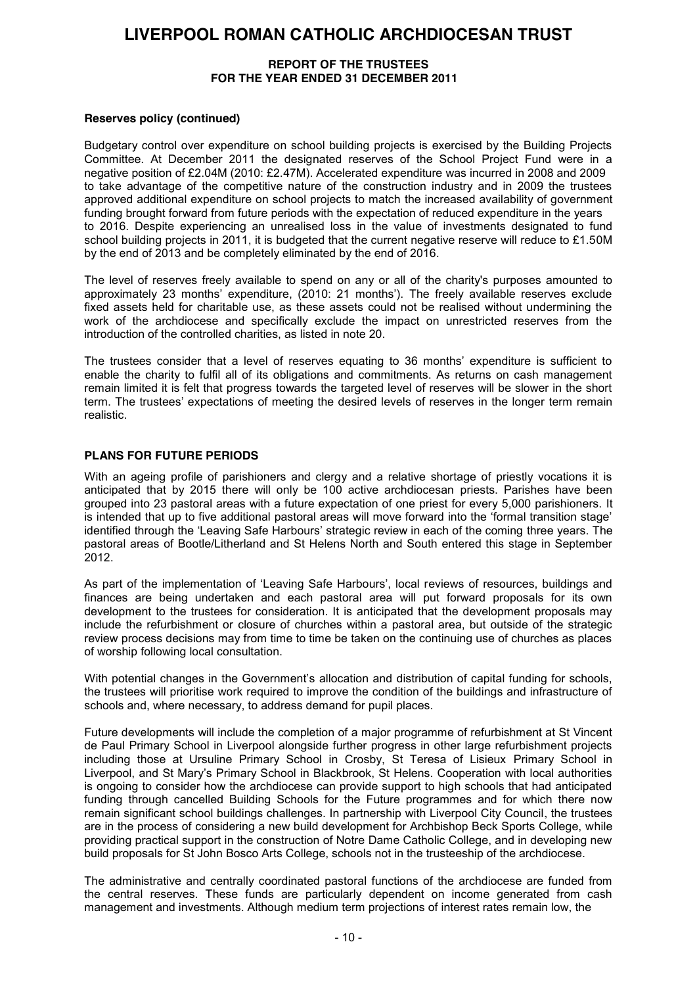### **REPORT OF THE TRUSTEES FOR THE YEAR ENDED 31 DECEMBER 2011**

# **Reserves policy (continued)**

Budgetary control over expenditure on school building projects is exercised by the Building Projects Committee. At December 2011 the designated reserves of the School Project Fund were in a negative position of £2.04M (2010: £2.47M). Accelerated expenditure was incurred in 2008 and 2009 to take advantage of the competitive nature of the construction industry and in 2009 the trustees approved additional expenditure on school projects to match the increased availability of government funding brought forward from future periods with the expectation of reduced expenditure in the years to 2016. Despite experiencing an unrealised loss in the value of investments designated to fund school building projects in 2011, it is budgeted that the current negative reserve will reduce to £1.50M by the end of 2013 and be completely eliminated by the end of 2016.

The level of reserves freely available to spend on any or all of the charity's purposes amounted to approximately 23 months' expenditure, (2010: 21 months'). The freely available reserves exclude fixed assets held for charitable use, as these assets could not be realised without undermining the work of the archdiocese and specifically exclude the impact on unrestricted reserves from the introduction of the controlled charities, as listed in note 20.

The trustees consider that a level of reserves equating to 36 months' expenditure is sufficient to enable the charity to fulfil all of its obligations and commitments. As returns on cash management remain limited it is felt that progress towards the targeted level of reserves will be slower in the short term. The trustees' expectations of meeting the desired levels of reserves in the longer term remain realistic.

# **PLANS FOR FUTURE PERIODS**

With an ageing profile of parishioners and clergy and a relative shortage of priestly vocations it is anticipated that by 2015 there will only be 100 active archdiocesan priests. Parishes have been grouped into 23 pastoral areas with a future expectation of one priest for every 5,000 parishioners. It is intended that up to five additional pastoral areas will move forward into the 'formal transition stage' identified through the 'Leaving Safe Harbours' strategic review in each of the coming three years. The pastoral areas of Bootle/Litherland and St Helens North and South entered this stage in September 2012.

As part of the implementation of 'Leaving Safe Harbours', local reviews of resources, buildings and finances are being undertaken and each pastoral area will put forward proposals for its own development to the trustees for consideration. It is anticipated that the development proposals may include the refurbishment or closure of churches within a pastoral area, but outside of the strategic review process decisions may from time to time be taken on the continuing use of churches as places of worship following local consultation.

With potential changes in the Government's allocation and distribution of capital funding for schools, the trustees will prioritise work required to improve the condition of the buildings and infrastructure of schools and, where necessary, to address demand for pupil places.

Future developments will include the completion of a major programme of refurbishment at St Vincent de Paul Primary School in Liverpool alongside further progress in other large refurbishment projects including those at Ursuline Primary School in Crosby, St Teresa of Lisieux Primary School in Liverpool, and St Mary's Primary School in Blackbrook, St Helens. Cooperation with local authorities is ongoing to consider how the archdiocese can provide support to high schools that had anticipated funding through cancelled Building Schools for the Future programmes and for which there now remain significant school buildings challenges. In partnership with Liverpool City Council, the trustees are in the process of considering a new build development for Archbishop Beck Sports College, while providing practical support in the construction of Notre Dame Catholic College, and in developing new build proposals for St John Bosco Arts College, schools not in the trusteeship of the archdiocese.

The administrative and centrally coordinated pastoral functions of the archdiocese are funded from the central reserves. These funds are particularly dependent on income generated from cash management and investments. Although medium term projections of interest rates remain low, the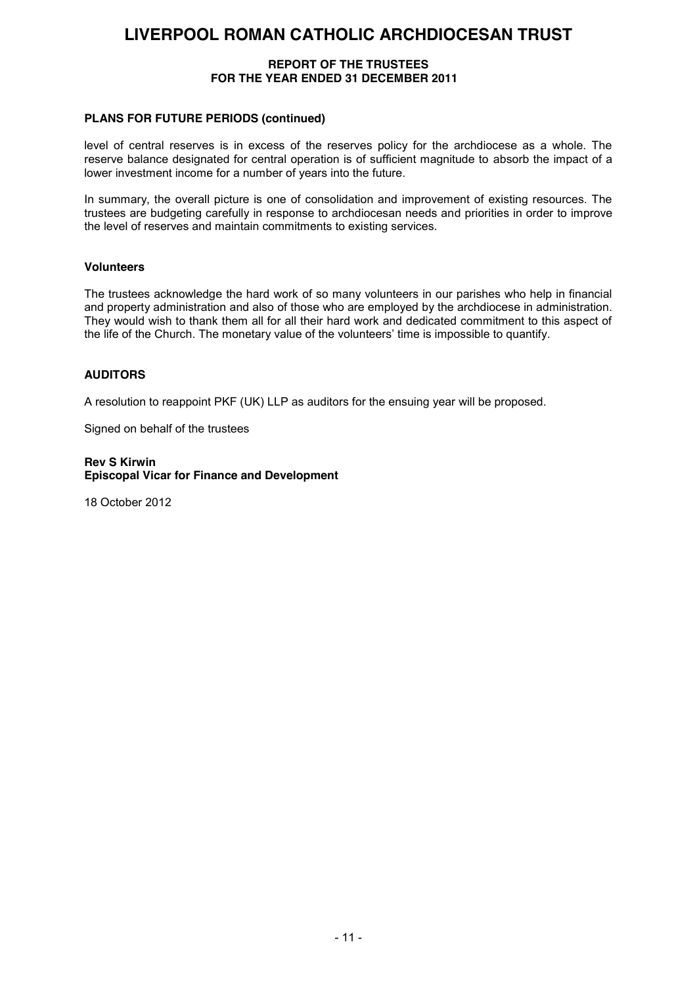#### **REPORT OF THE TRUSTEES FOR THE YEAR ENDED 31 DECEMBER 2011**

# **PLANS FOR FUTURE PERIODS (continued)**

level of central reserves is in excess of the reserves policy for the archdiocese as a whole. The reserve balance designated for central operation is of sufficient magnitude to absorb the impact of a lower investment income for a number of years into the future.

In summary, the overall picture is one of consolidation and improvement of existing resources. The trustees are budgeting carefully in response to archdiocesan needs and priorities in order to improve the level of reserves and maintain commitments to existing services.

### **Volunteers**

The trustees acknowledge the hard work of so many volunteers in our parishes who help in financial and property administration and also of those who are employed by the archdiocese in administration. They would wish to thank them all for all their hard work and dedicated commitment to this aspect of the life of the Church. The monetary value of the volunteers' time is impossible to quantify.

# **AUDITORS**

A resolution to reappoint PKF (UK) LLP as auditors for the ensuing year will be proposed.

Signed on behalf of the trustees

### **Rev S Kirwin Episcopal Vicar for Finance and Development**

18 October 2012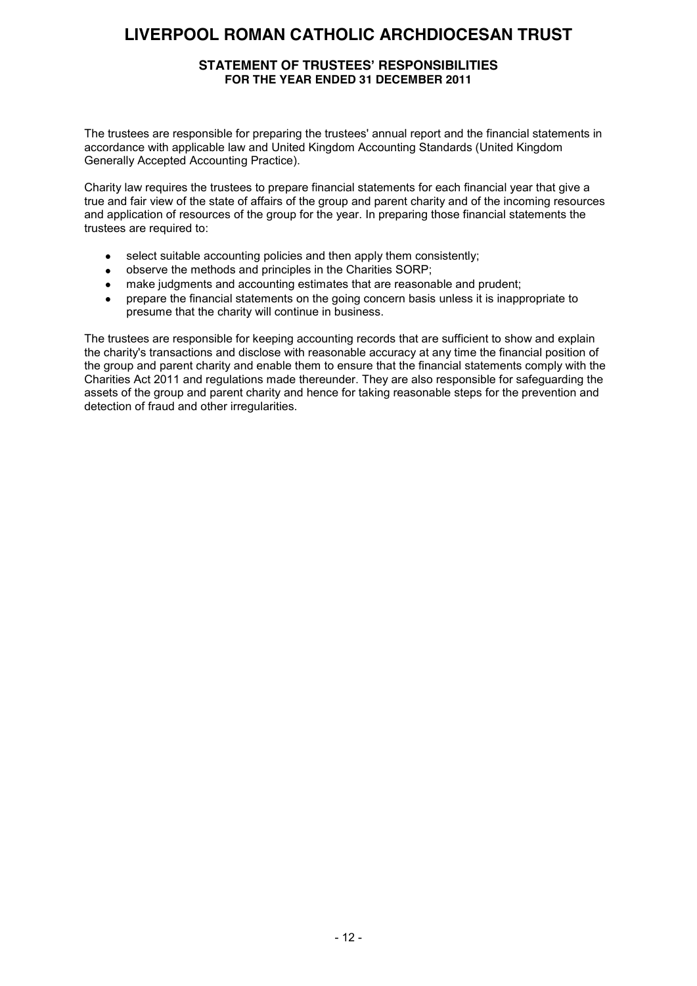# **STATEMENT OF TRUSTEES' RESPONSIBILITIES FOR THE YEAR ENDED 31 DECEMBER 2011**

The trustees are responsible for preparing the trustees' annual report and the financial statements in accordance with applicable law and United Kingdom Accounting Standards (United Kingdom Generally Accepted Accounting Practice).

Charity law requires the trustees to prepare financial statements for each financial year that give a true and fair view of the state of affairs of the group and parent charity and of the incoming resources and application of resources of the group for the year. In preparing those financial statements the trustees are required to:

- select suitable accounting policies and then apply them consistently;  $\bullet$
- observe the methods and principles in the Charities SORP;  $\bullet$
- make judgments and accounting estimates that are reasonable and prudent;  $\bullet$
- prepare the financial statements on the going concern basis unless it is inappropriate to presume that the charity will continue in business.

The trustees are responsible for keeping accounting records that are sufficient to show and explain the charity's transactions and disclose with reasonable accuracy at any time the financial position of the group and parent charity and enable them to ensure that the financial statements comply with the Charities Act 2011 and regulations made thereunder. They are also responsible for safeguarding the assets of the group and parent charity and hence for taking reasonable steps for the prevention and detection of fraud and other irregularities.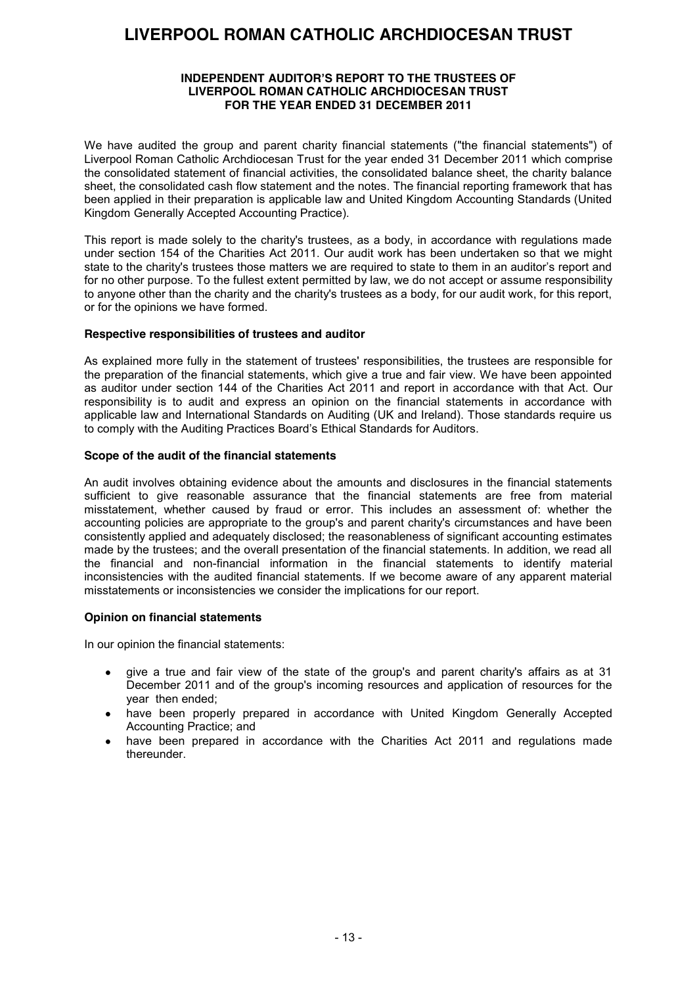### **INDEPENDENT AUDITOR'S REPORT TO THE TRUSTEES OF LIVERPOOL ROMAN CATHOLIC ARCHDIOCESAN TRUST FOR THE YEAR ENDED 31 DECEMBER 2011**

We have audited the group and parent charity financial statements ("the financial statements") of Liverpool Roman Catholic Archdiocesan Trust for the year ended 31 December 2011 which comprise the consolidated statement of financial activities, the consolidated balance sheet, the charity balance sheet, the consolidated cash flow statement and the notes. The financial reporting framework that has been applied in their preparation is applicable law and United Kingdom Accounting Standards (United Kingdom Generally Accepted Accounting Practice).

This report is made solely to the charity's trustees, as a body, in accordance with regulations made under section 154 of the Charities Act 2011. Our audit work has been undertaken so that we might state to the charity's trustees those matters we are required to state to them in an auditor's report and for no other purpose. To the fullest extent permitted by law, we do not accept or assume responsibility to anyone other than the charity and the charity's trustees as a body, for our audit work, for this report, or for the opinions we have formed.

# **Respective responsibilities of trustees and auditor**

As explained more fully in the statement of trustees' responsibilities, the trustees are responsible for the preparation of the financial statements, which give a true and fair view. We have been appointed as auditor under section 144 of the Charities Act 2011 and report in accordance with that Act. Our responsibility is to audit and express an opinion on the financial statements in accordance with applicable law and International Standards on Auditing (UK and Ireland). Those standards require us to comply with the Auditing Practices Board's Ethical Standards for Auditors.

# **Scope of the audit of the financial statements**

An audit involves obtaining evidence about the amounts and disclosures in the financial statements sufficient to give reasonable assurance that the financial statements are free from material misstatement, whether caused by fraud or error. This includes an assessment of: whether the accounting policies are appropriate to the group's and parent charity's circumstances and have been consistently applied and adequately disclosed; the reasonableness of significant accounting estimates made by the trustees; and the overall presentation of the financial statements. In addition, we read all the financial and non-financial information in the financial statements to identify material inconsistencies with the audited financial statements. If we become aware of any apparent material misstatements or inconsistencies we consider the implications for our report.

# **Opinion on financial statements**

In our opinion the financial statements:

- give a true and fair view of the state of the group's and parent charity's affairs as at 31 December 2011 and of the group's incoming resources and application of resources for the year then ended;
- have been properly prepared in accordance with United Kingdom Generally Accepted Accounting Practice; and
- have been prepared in accordance with the Charities Act 2011 and regulations made thereunder.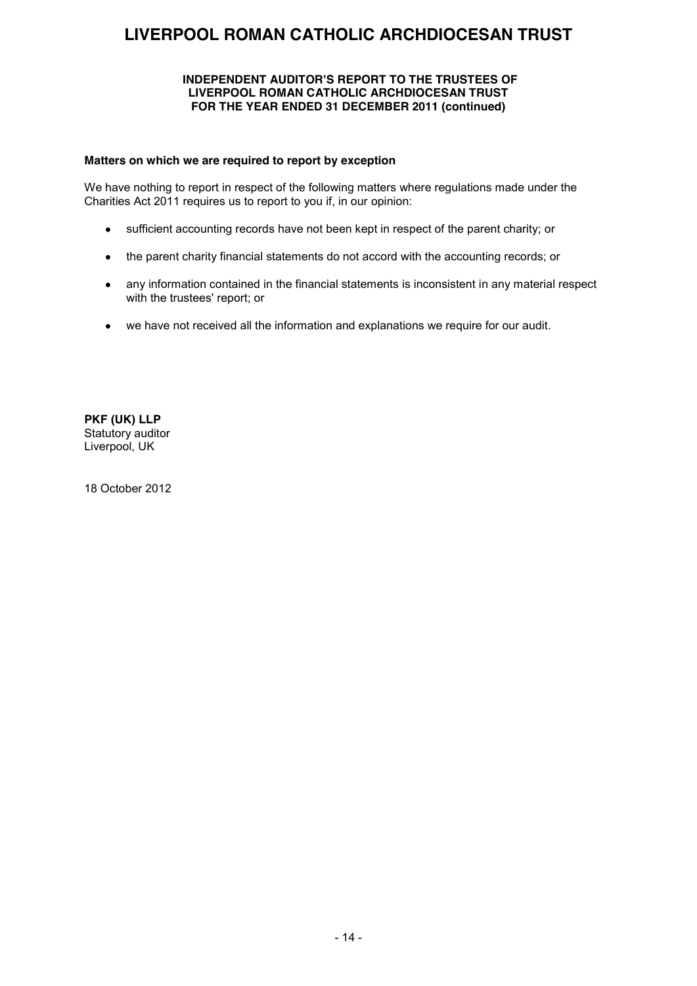### **INDEPENDENT AUDITOR'S REPORT TO THE TRUSTEES OF LIVERPOOL ROMAN CATHOLIC ARCHDIOCESAN TRUST FOR THE YEAR ENDED 31 DECEMBER 2011 (continued)**

# **Matters on which we are required to report by exception**

We have nothing to report in respect of the following matters where regulations made under the Charities Act 2011 requires us to report to you if, in our opinion:

- sufficient accounting records have not been kept in respect of the parent charity; or
- the parent charity financial statements do not accord with the accounting records; or  $\bullet$
- any information contained in the financial statements is inconsistent in any material respect with the trustees' report; or
- we have not received all the information and explanations we require for our audit.

**PKF (UK) LLP** Statutory auditor Liverpool, UK

18 October 2012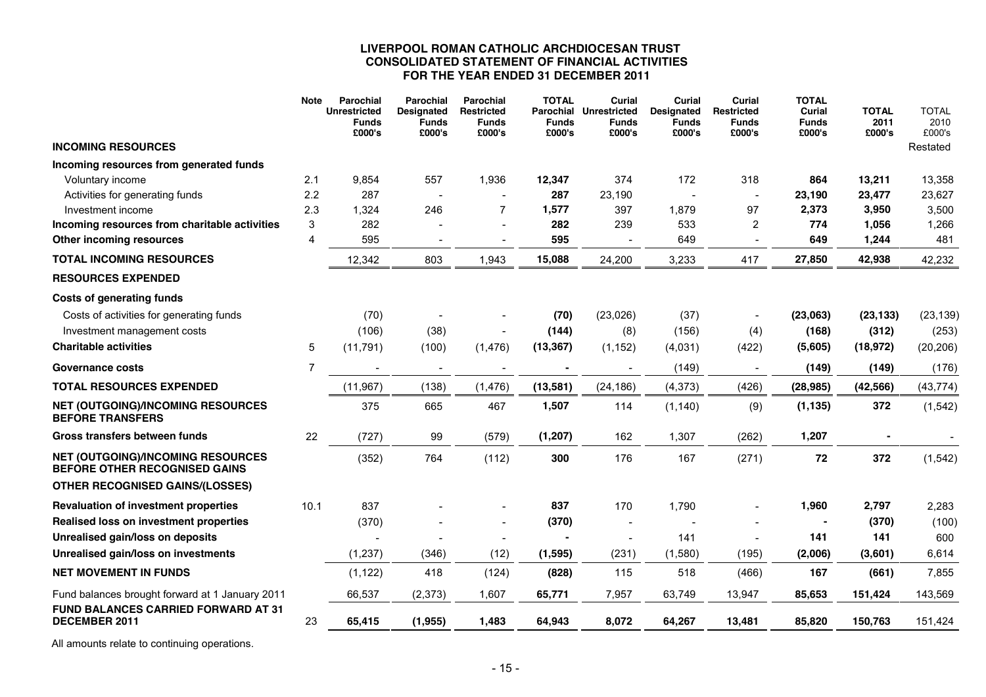### **LIVERPOOL ROMAN CATHOLIC ARCHDIOCESAN TRUST CONSOLIDATED STATEMENT OF FINANCIAL ACTIVITIES FOR THE YEAR ENDED 31 DECEMBER 2011**

|                                                                                  | <b>Note</b>                    | Parochial<br><b>Unrestricted</b><br><b>Funds</b><br>£000's | <b>Parochial</b><br><b>Designated</b><br><b>Funds</b><br>£000's | <b>Parochial</b><br><b>Restricted</b><br><b>Funds</b><br>£000's | <b>TOTAL</b><br>Parochial<br><b>Funds</b><br>£000's | Curial<br><b>Unrestricted</b><br><b>Funds</b><br>£000's | Curial<br><b>Designated</b><br>Funds<br>£000's | Curial<br><b>Restricted</b><br><b>Funds</b><br>£000's | <b>TOTAL</b><br>Curial<br><b>Funds</b><br>£000's | <b>TOTAL</b><br>2011<br>£000's | <b>TOTAL</b><br>2010<br>£000's |
|----------------------------------------------------------------------------------|--------------------------------|------------------------------------------------------------|-----------------------------------------------------------------|-----------------------------------------------------------------|-----------------------------------------------------|---------------------------------------------------------|------------------------------------------------|-------------------------------------------------------|--------------------------------------------------|--------------------------------|--------------------------------|
| <b>INCOMING RESOURCES</b>                                                        |                                |                                                            |                                                                 |                                                                 |                                                     |                                                         |                                                |                                                       |                                                  |                                | Restated                       |
| Incoming resources from generated funds                                          |                                |                                                            |                                                                 |                                                                 |                                                     |                                                         |                                                |                                                       |                                                  |                                |                                |
| Voluntary income                                                                 | 2.1                            | 9,854                                                      | 557                                                             | 1,936                                                           | 12,347                                              | 374                                                     | 172                                            | 318                                                   | 864                                              | 13,211                         | 13,358                         |
| Activities for generating funds                                                  | 2.2                            | 287                                                        |                                                                 |                                                                 | 287                                                 | 23,190                                                  |                                                |                                                       | 23,190                                           | 23,477                         | 23,627                         |
| Investment income                                                                | 2.3                            | 1,324                                                      | 246                                                             | $\overline{7}$                                                  | 1,577                                               | 397                                                     | 1,879                                          | 97                                                    | 2,373                                            | 3,950                          | 3,500                          |
| Incoming resources from charitable activities<br>Other incoming resources        | $\mathbf{3}$<br>$\overline{4}$ | 282<br>595                                                 |                                                                 |                                                                 | 282<br>595                                          | 239                                                     | 533<br>649                                     | $\overline{c}$                                        | 774<br>649                                       | 1,056<br>1,244                 | 1,266<br>481                   |
|                                                                                  |                                |                                                            |                                                                 |                                                                 |                                                     |                                                         |                                                |                                                       |                                                  |                                |                                |
| <b>TOTAL INCOMING RESOURCES</b>                                                  |                                | 12,342                                                     | 803                                                             | 1,943                                                           | 15,088                                              | 24,200                                                  | 3,233                                          | 417                                                   | 27,850                                           | 42,938                         | 42,232                         |
| <b>RESOURCES EXPENDED</b>                                                        |                                |                                                            |                                                                 |                                                                 |                                                     |                                                         |                                                |                                                       |                                                  |                                |                                |
| <b>Costs of generating funds</b>                                                 |                                |                                                            |                                                                 |                                                                 |                                                     |                                                         |                                                |                                                       |                                                  |                                |                                |
| Costs of activities for generating funds                                         |                                | (70)                                                       |                                                                 |                                                                 | (70)                                                | (23,026)                                                | (37)                                           |                                                       | (23,063)                                         | (23, 133)                      | (23, 139)                      |
| Investment management costs                                                      |                                | (106)                                                      | (38)                                                            |                                                                 | (144)                                               | (8)                                                     | (156)                                          | (4)                                                   | (168)                                            | (312)                          | (253)                          |
| <b>Charitable activities</b>                                                     | 5                              | (11, 791)                                                  | (100)                                                           | (1, 476)                                                        | (13, 367)                                           | (1, 152)                                                | (4,031)                                        | (422)                                                 | (5,605)                                          | (18, 972)                      | (20, 206)                      |
| <b>Governance costs</b>                                                          | 7                              |                                                            |                                                                 |                                                                 |                                                     |                                                         | (149)                                          |                                                       | (149)                                            | (149)                          | (176)                          |
| <b>TOTAL RESOURCES EXPENDED</b>                                                  |                                | (11, 967)                                                  | (138)                                                           | (1, 476)                                                        | (13,581)                                            | (24, 186)                                               | (4, 373)                                       | (426)                                                 | (28, 985)                                        | (42, 566)                      | (43, 774)                      |
| <b>NET (OUTGOING)/INCOMING RESOURCES</b><br><b>BEFORE TRANSFERS</b>              |                                | 375                                                        | 665                                                             | 467                                                             | 1,507                                               | 114                                                     | (1, 140)                                       | (9)                                                   | (1, 135)                                         | 372                            | (1, 542)                       |
| Gross transfers between funds                                                    | 22                             | (727)                                                      | 99                                                              | (579)                                                           | (1, 207)                                            | 162                                                     | 1,307                                          | (262)                                                 | 1,207                                            |                                |                                |
| <b>NET (OUTGOING)/INCOMING RESOURCES</b><br><b>BEFORE OTHER RECOGNISED GAINS</b> |                                | (352)                                                      | 764                                                             | (112)                                                           | 300                                                 | 176                                                     | 167                                            | (271)                                                 | 72                                               | 372                            | (1, 542)                       |
| <b>OTHER RECOGNISED GAINS/(LOSSES)</b>                                           |                                |                                                            |                                                                 |                                                                 |                                                     |                                                         |                                                |                                                       |                                                  |                                |                                |
| <b>Revaluation of investment properties</b>                                      | 10.1                           | 837                                                        |                                                                 |                                                                 | 837                                                 | 170                                                     | 1,790                                          |                                                       | 1,960                                            | 2,797                          | 2,283                          |
| Realised loss on investment properties                                           |                                | (370)                                                      |                                                                 |                                                                 | (370)                                               |                                                         |                                                |                                                       |                                                  | (370)                          | (100)                          |
| Unrealised gain/loss on deposits                                                 |                                |                                                            |                                                                 |                                                                 |                                                     |                                                         | 141                                            |                                                       | 141                                              | 141                            | 600                            |
| Unrealised gain/loss on investments                                              |                                | (1, 237)                                                   | (346)                                                           | (12)                                                            | (1, 595)                                            | (231)                                                   | (1,580)                                        | (195)                                                 | (2,006)                                          | (3,601)                        | 6,614                          |
| <b>NET MOVEMENT IN FUNDS</b>                                                     |                                | (1, 122)                                                   | 418                                                             | (124)                                                           | (828)                                               | 115                                                     | 518                                            | (466)                                                 | 167                                              | (661)                          | 7,855                          |
| Fund balances brought forward at 1 January 2011                                  |                                | 66,537                                                     | (2, 373)                                                        | 1,607                                                           | 65,771                                              | 7,957                                                   | 63,749                                         | 13,947                                                | 85,653                                           | 151,424                        | 143,569                        |
| FUND BALANCES CARRIED FORWARD AT 31<br>DECEMBER 2011                             | 23                             | 65,415                                                     | (1, 955)                                                        | 1,483                                                           | 64,943                                              | 8,072                                                   | 64,267                                         | 13,481                                                | 85,820                                           | 150,763                        | 151,424                        |

All amounts relate to continuing operations.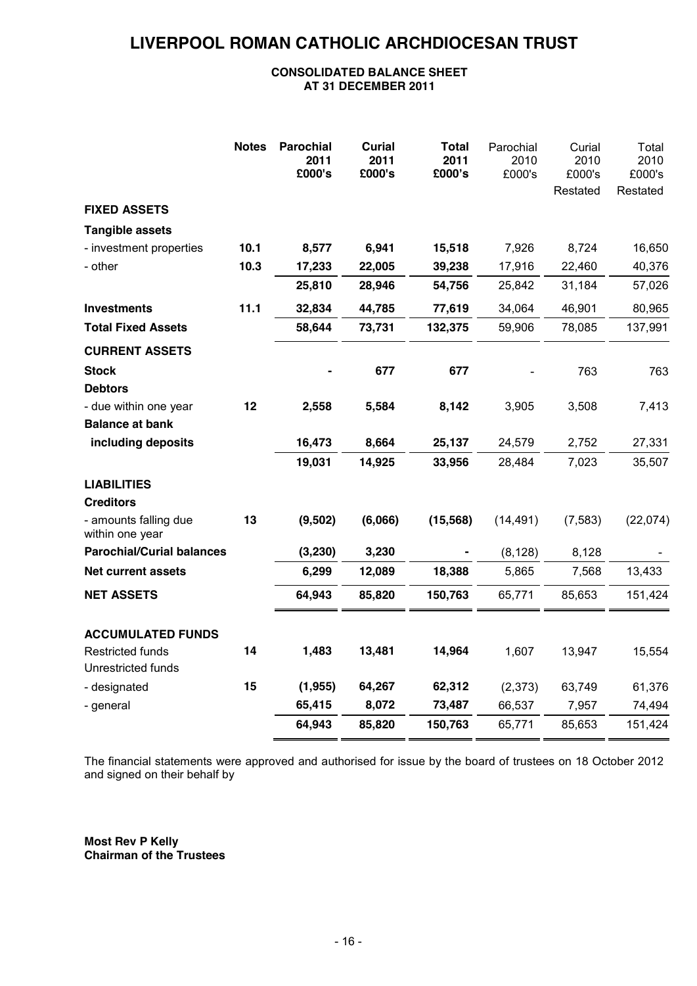# **CONSOLIDATED BALANCE SHEET AT 31 DECEMBER 2011**

|                                          | <b>Notes</b> | <b>Parochial</b><br>2011<br>£000's | <b>Curial</b><br>2011<br>£000's | <b>Total</b><br>2011<br>£000's | Parochial<br>2010<br>£000's | Curial<br>2010<br>£000's<br>Restated | Total<br>2010<br>£000's<br>Restated |
|------------------------------------------|--------------|------------------------------------|---------------------------------|--------------------------------|-----------------------------|--------------------------------------|-------------------------------------|
| <b>FIXED ASSETS</b>                      |              |                                    |                                 |                                |                             |                                      |                                     |
| <b>Tangible assets</b>                   |              |                                    |                                 |                                |                             |                                      |                                     |
| - investment properties                  | 10.1         | 8,577                              | 6,941                           | 15,518                         | 7,926                       | 8,724                                | 16,650                              |
| - other                                  | 10.3         | 17,233                             | 22,005                          | 39,238                         | 17,916                      | 22,460                               | 40,376                              |
|                                          |              | 25,810                             | 28,946                          | 54,756                         | 25,842                      | 31,184                               | 57,026                              |
| <b>Investments</b>                       | 11.1         | 32,834                             | 44,785                          | 77,619                         | 34,064                      | 46,901                               | 80,965                              |
| <b>Total Fixed Assets</b>                |              | 58,644                             | 73,731                          | 132,375                        | 59,906                      | 78,085                               | 137,991                             |
| <b>CURRENT ASSETS</b>                    |              |                                    |                                 |                                |                             |                                      |                                     |
| <b>Stock</b>                             |              |                                    | 677                             | 677                            |                             | 763                                  | 763                                 |
| <b>Debtors</b>                           |              |                                    |                                 |                                |                             |                                      |                                     |
| - due within one year                    | 12           | 2,558                              | 5,584                           | 8,142                          | 3,905                       | 3,508                                | 7,413                               |
| <b>Balance at bank</b>                   |              |                                    |                                 |                                |                             |                                      |                                     |
| including deposits                       |              | 16,473                             | 8,664                           | 25,137                         | 24,579                      | 2,752                                | 27,331                              |
|                                          |              | 19,031                             | 14,925                          | 33,956                         | 28,484                      | 7,023                                | 35,507                              |
| <b>LIABILITIES</b>                       |              |                                    |                                 |                                |                             |                                      |                                     |
| <b>Creditors</b>                         |              |                                    |                                 |                                |                             |                                      |                                     |
| - amounts falling due<br>within one year | 13           | (9,502)                            | (6,066)                         | (15, 568)                      | (14, 491)                   | (7, 583)                             | (22, 074)                           |
| <b>Parochial/Curial balances</b>         |              | (3, 230)                           | 3,230                           |                                | (8, 128)                    | 8,128                                |                                     |
| <b>Net current assets</b>                |              | 6,299                              | 12,089                          | 18,388                         | 5,865                       | 7,568                                | 13,433                              |
| <b>NET ASSETS</b>                        |              | 64,943                             | 85,820                          | 150,763                        | 65,771                      | 85,653                               | 151,424                             |
| <b>ACCUMULATED FUNDS</b>                 |              |                                    |                                 |                                |                             |                                      |                                     |
| Restricted funds                         | 14           | 1,483                              | 13,481                          | 14,964                         | 1,607                       | 13,947                               | 15,554                              |
| Unrestricted funds                       |              |                                    |                                 |                                |                             |                                      |                                     |
| - designated                             | 15           | (1, 955)                           | 64,267                          | 62,312                         | (2, 373)                    | 63,749                               | 61,376                              |
| - general                                |              | 65,415                             | 8,072                           | 73,487                         | 66,537                      | 7,957                                | 74,494                              |
|                                          |              | 64,943                             | 85,820                          | 150,763                        | 65,771                      | 85,653                               | 151,424                             |

The financial statements were approved and authorised for issue by the board of trustees on 18 October 2012 and signed on their behalf by

**Most Rev P Kelly Chairman of the Trustees**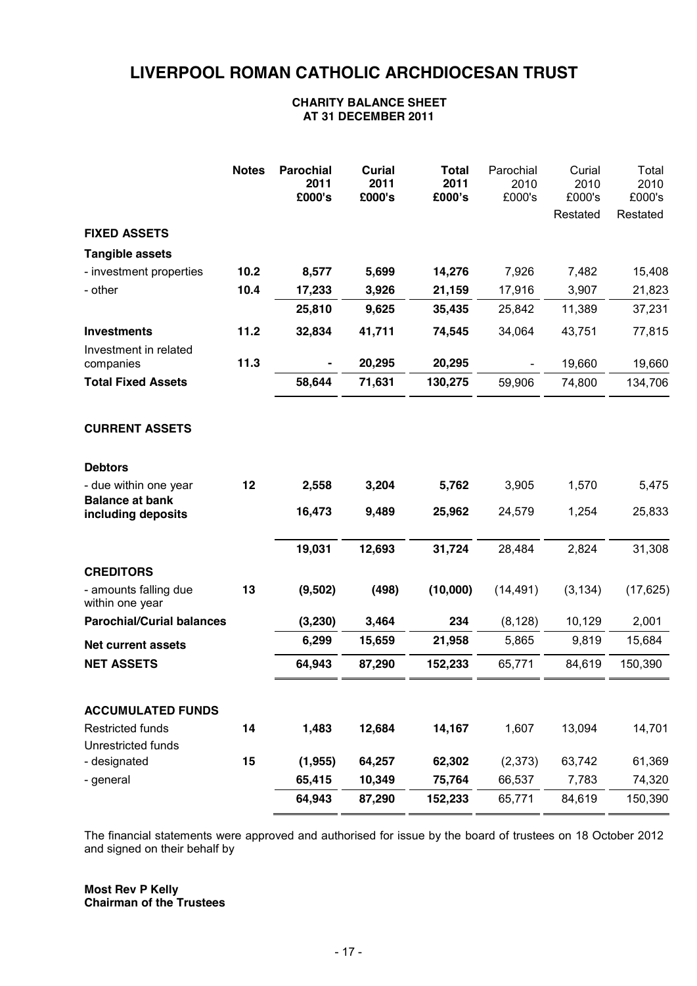# **CHARITY BALANCE SHEET AT 31 DECEMBER 2011**

|                                              | <b>Notes</b> | <b>Parochial</b><br>2011<br>£000's | <b>Curial</b><br>2011<br>£000's | <b>Total</b><br>2011<br>£000's | Parochial<br>2010<br>£000's | Curial<br>2010<br>£000's<br>Restated | Total<br>2010<br>£000's<br>Restated |
|----------------------------------------------|--------------|------------------------------------|---------------------------------|--------------------------------|-----------------------------|--------------------------------------|-------------------------------------|
| <b>FIXED ASSETS</b>                          |              |                                    |                                 |                                |                             |                                      |                                     |
| <b>Tangible assets</b>                       |              |                                    |                                 |                                |                             |                                      |                                     |
| - investment properties                      | 10.2         | 8,577                              | 5,699                           | 14,276                         | 7,926                       | 7,482                                | 15,408                              |
| - other                                      | 10.4         | 17,233                             | 3,926                           | 21,159                         | 17,916                      | 3,907                                | 21,823                              |
|                                              |              | 25,810                             | 9,625                           | 35,435                         | 25,842                      | 11,389                               | 37,231                              |
| <b>Investments</b>                           | 11.2         | 32,834                             | 41,711                          | 74,545                         | 34,064                      | 43,751                               | 77,815                              |
| Investment in related<br>companies           | 11.3         |                                    | 20,295                          | 20,295                         |                             | 19,660                               | 19,660                              |
| <b>Total Fixed Assets</b>                    |              | 58,644                             | 71,631                          | 130,275                        | 59,906                      | 74,800                               | 134,706                             |
| <b>CURRENT ASSETS</b>                        |              |                                    |                                 |                                |                             |                                      |                                     |
| <b>Debtors</b>                               |              |                                    |                                 |                                |                             |                                      |                                     |
| - due within one year                        | 12           | 2,558                              | 3,204                           | 5,762                          | 3,905                       | 1,570                                | 5,475                               |
| <b>Balance at bank</b><br>including deposits |              | 16,473                             | 9,489                           | 25,962                         | 24,579                      | 1,254                                | 25,833                              |
|                                              |              | 19,031                             | 12,693                          | 31,724                         | 28,484                      | 2,824                                | 31,308                              |
| <b>CREDITORS</b>                             |              |                                    |                                 |                                |                             |                                      |                                     |
| - amounts falling due<br>within one year     | 13           | (9,502)                            | (498)                           | (10,000)                       | (14, 491)                   | (3, 134)                             | (17, 625)                           |
| <b>Parochial/Curial balances</b>             |              | (3, 230)                           | 3,464                           | 234                            | (8, 128)                    | 10,129                               | 2,001                               |
| Net current assets                           |              | 6,299                              | 15,659                          | 21,958                         | 5,865                       | 9,819                                | 15,684                              |
| <b>NET ASSETS</b>                            |              | 64,943                             | 87,290                          | 152,233                        | 65,771                      | 84,619                               | 150,390                             |
| <b>ACCUMULATED FUNDS</b>                     |              |                                    |                                 |                                |                             |                                      |                                     |
| <b>Restricted funds</b>                      | 14           | 1,483                              | 12,684                          | 14,167                         | 1,607                       | 13,094                               | 14,701                              |
| Unrestricted funds                           |              |                                    |                                 |                                |                             |                                      |                                     |
| - designated                                 | 15           | (1, 955)                           | 64,257                          | 62,302                         | (2, 373)                    | 63,742                               | 61,369                              |
| - general                                    |              | 65,415                             | 10,349                          | 75,764                         | 66,537                      | 7,783                                | 74,320                              |
|                                              |              | 64,943                             | 87,290                          | 152,233                        | 65,771                      | 84,619                               | 150,390                             |

The financial statements were approved and authorised for issue by the board of trustees on 18 October 2012 and signed on their behalf by

# **Most Rev P Kelly Chairman of the Trustees**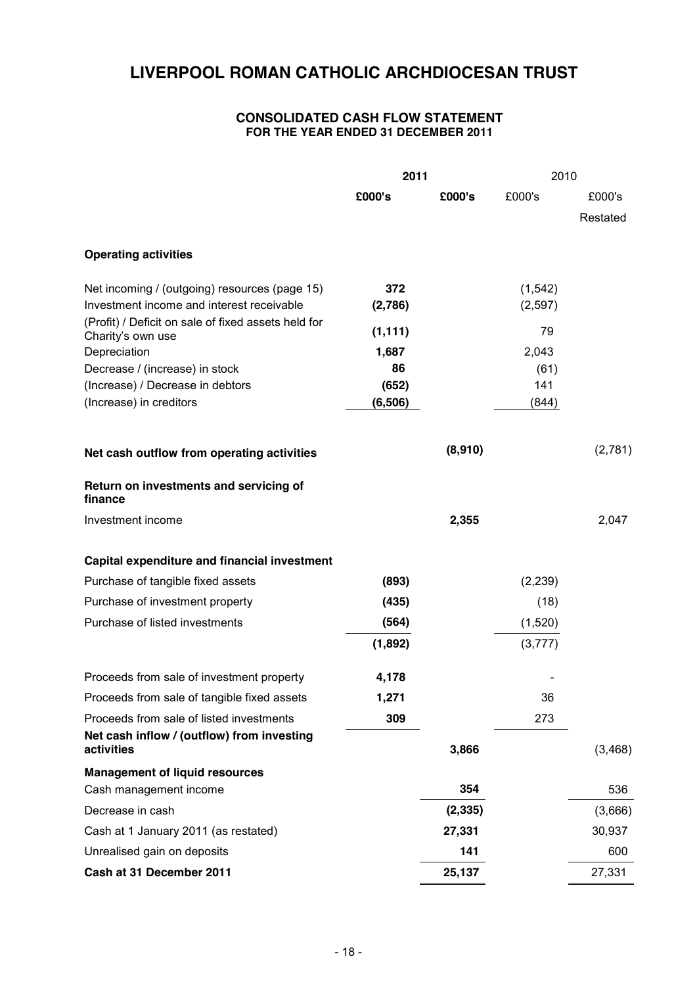# **CONSOLIDATED CASH FLOW STATEMENT FOR THE YEAR ENDED 31 DECEMBER 2011**

|                                                                                            | 2011           |          | 2010                 |          |
|--------------------------------------------------------------------------------------------|----------------|----------|----------------------|----------|
|                                                                                            | £000's         | £000's   | £000's               | £000's   |
|                                                                                            |                |          |                      | Restated |
| <b>Operating activities</b>                                                                |                |          |                      |          |
| Net incoming / (outgoing) resources (page 15)<br>Investment income and interest receivable | 372<br>(2,786) |          | (1, 542)<br>(2, 597) |          |
| (Profit) / Deficit on sale of fixed assets held for<br>Charity's own use                   | (1, 111)       |          | 79                   |          |
| Depreciation                                                                               | 1,687          |          | 2,043                |          |
| Decrease / (increase) in stock                                                             | 86             |          | (61)                 |          |
| (Increase) / Decrease in debtors                                                           | (652)          |          | 141                  |          |
| (Increase) in creditors                                                                    | (6, 506)       |          | (844)                |          |
| Net cash outflow from operating activities                                                 |                | (8,910)  |                      | (2,781)  |
| Return on investments and servicing of<br>finance                                          |                |          |                      |          |
| Investment income                                                                          |                | 2,355    |                      | 2,047    |
| Capital expenditure and financial investment                                               |                |          |                      |          |
| Purchase of tangible fixed assets                                                          | (893)          |          | (2, 239)             |          |
| Purchase of investment property                                                            | (435)          |          | (18)                 |          |
| Purchase of listed investments                                                             | (564)          |          | (1,520)              |          |
|                                                                                            | (1,892)        |          | (3, 777)             |          |
| Proceeds from sale of investment property                                                  | 4,178          |          |                      |          |
| Proceeds from sale of tangible fixed assets                                                | 1,271          |          | 36                   |          |
| Proceeds from sale of listed investments                                                   | 309            |          | 273                  |          |
| Net cash inflow / (outflow) from investing<br>activities                                   |                | 3,866    |                      | (3, 468) |
| <b>Management of liquid resources</b>                                                      |                |          |                      |          |
| Cash management income                                                                     |                | 354      |                      | 536      |
| Decrease in cash                                                                           |                | (2, 335) |                      | (3,666)  |
| Cash at 1 January 2011 (as restated)                                                       |                | 27,331   |                      | 30,937   |
| Unrealised gain on deposits                                                                |                | 141      |                      | 600      |
| Cash at 31 December 2011                                                                   |                | 25,137   |                      | 27,331   |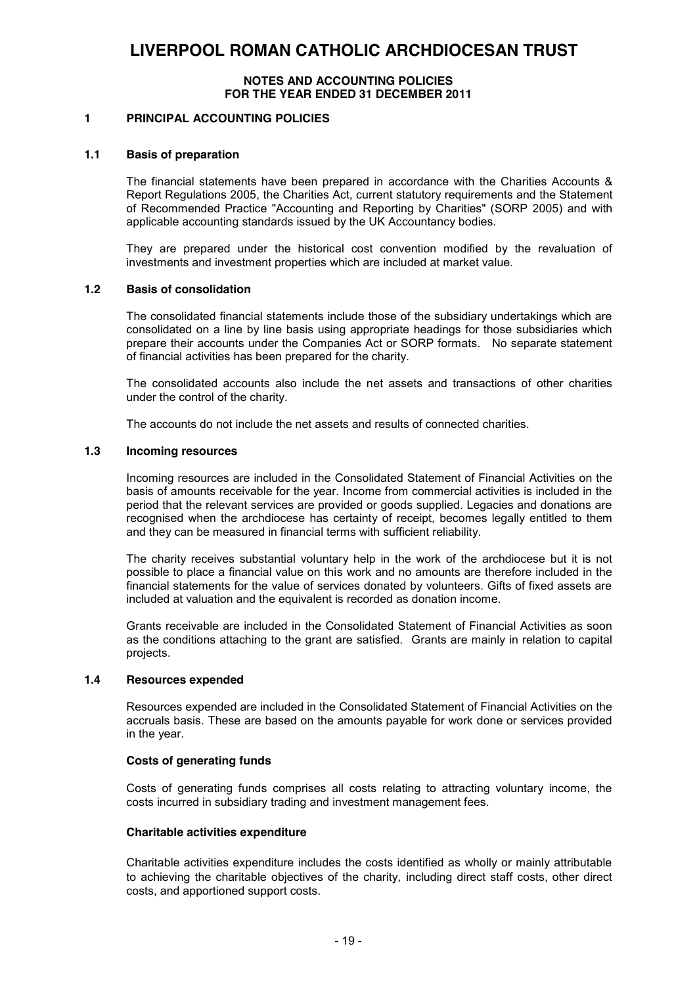### **NOTES AND ACCOUNTING POLICIES FOR THE YEAR ENDED 31 DECEMBER 2011**

### **1 PRINCIPAL ACCOUNTING POLICIES**

#### **1.1 Basis of preparation**

The financial statements have been prepared in accordance with the Charities Accounts & Report Regulations 2005, the Charities Act, current statutory requirements and the Statement of Recommended Practice "Accounting and Reporting by Charities" (SORP 2005) and with applicable accounting standards issued by the UK Accountancy bodies.

They are prepared under the historical cost convention modified by the revaluation of investments and investment properties which are included at market value.

#### **1.2 Basis of consolidation**

The consolidated financial statements include those of the subsidiary undertakings which are consolidated on a line by line basis using appropriate headings for those subsidiaries which prepare their accounts under the Companies Act or SORP formats. No separate statement of financial activities has been prepared for the charity.

The consolidated accounts also include the net assets and transactions of other charities under the control of the charity.

The accounts do not include the net assets and results of connected charities.

#### **1.3 Incoming resources**

Incoming resources are included in the Consolidated Statement of Financial Activities on the basis of amounts receivable for the year. Income from commercial activities is included in the period that the relevant services are provided or goods supplied. Legacies and donations are recognised when the archdiocese has certainty of receipt, becomes legally entitled to them and they can be measured in financial terms with sufficient reliability.

The charity receives substantial voluntary help in the work of the archdiocese but it is not possible to place a financial value on this work and no amounts are therefore included in the financial statements for the value of services donated by volunteers. Gifts of fixed assets are included at valuation and the equivalent is recorded as donation income.

Grants receivable are included in the Consolidated Statement of Financial Activities as soon as the conditions attaching to the grant are satisfied. Grants are mainly in relation to capital projects.

#### **1.4 Resources expended**

Resources expended are included in the Consolidated Statement of Financial Activities on the accruals basis. These are based on the amounts payable for work done or services provided in the year.

#### **Costs of generating funds**

Costs of generating funds comprises all costs relating to attracting voluntary income, the costs incurred in subsidiary trading and investment management fees.

#### **Charitable activities expenditure**

Charitable activities expenditure includes the costs identified as wholly or mainly attributable to achieving the charitable objectives of the charity, including direct staff costs, other direct costs, and apportioned support costs.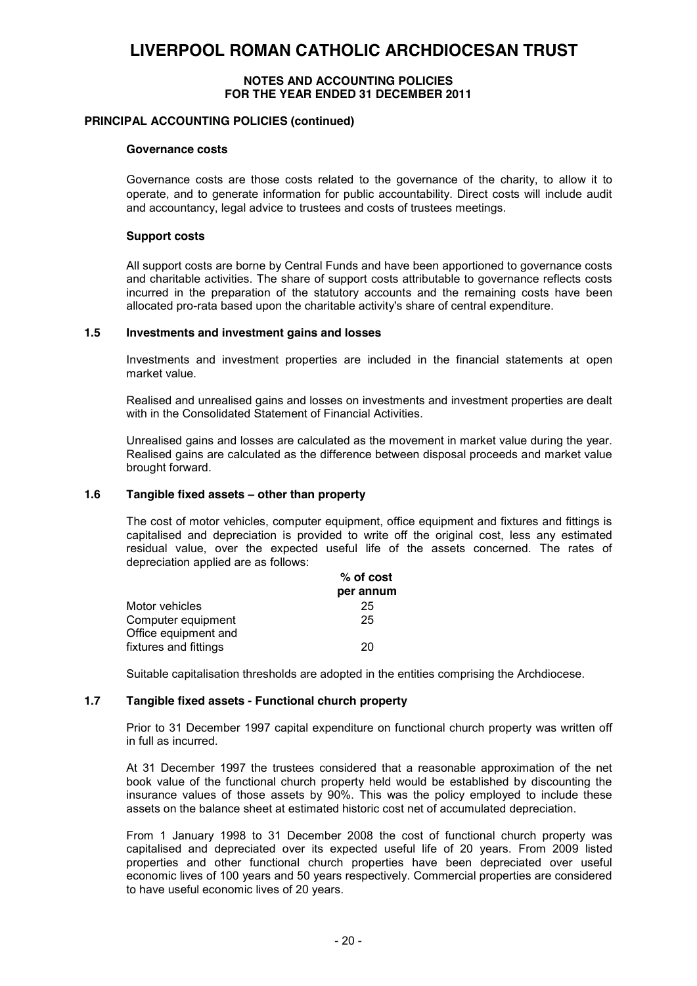### **NOTES AND ACCOUNTING POLICIES FOR THE YEAR ENDED 31 DECEMBER 2011**

#### **PRINCIPAL ACCOUNTING POLICIES (continued)**

### **Governance costs**

Governance costs are those costs related to the governance of the charity, to allow it to operate, and to generate information for public accountability. Direct costs will include audit and accountancy, legal advice to trustees and costs of trustees meetings.

#### **Support costs**

All support costs are borne by Central Funds and have been apportioned to governance costs and charitable activities. The share of support costs attributable to governance reflects costs incurred in the preparation of the statutory accounts and the remaining costs have been allocated pro-rata based upon the charitable activity's share of central expenditure.

#### **1.5 Investments and investment gains and losses**

Investments and investment properties are included in the financial statements at open market value.

Realised and unrealised gains and losses on investments and investment properties are dealt with in the Consolidated Statement of Financial Activities.

Unrealised gains and losses are calculated as the movement in market value during the year. Realised gains are calculated as the difference between disposal proceeds and market value brought forward.

### **1.6 Tangible fixed assets – other than property**

The cost of motor vehicles, computer equipment, office equipment and fixtures and fittings is capitalised and depreciation is provided to write off the original cost, less any estimated residual value, over the expected useful life of the assets concerned. The rates of depreciation applied are as follows:

|                       | % of cost |
|-----------------------|-----------|
|                       | per annum |
| Motor vehicles        | 25        |
| Computer equipment    | 25        |
| Office equipment and  |           |
| fixtures and fittings | 20        |

Suitable capitalisation thresholds are adopted in the entities comprising the Archdiocese.

#### **1.7 Tangible fixed assets - Functional church property**

Prior to 31 December 1997 capital expenditure on functional church property was written off in full as incurred.

At 31 December 1997 the trustees considered that a reasonable approximation of the net book value of the functional church property held would be established by discounting the insurance values of those assets by 90%. This was the policy employed to include these assets on the balance sheet at estimated historic cost net of accumulated depreciation.

From 1 January 1998 to 31 December 2008 the cost of functional church property was capitalised and depreciated over its expected useful life of 20 years. From 2009 listed properties and other functional church properties have been depreciated over useful economic lives of 100 years and 50 years respectively. Commercial properties are considered to have useful economic lives of 20 years.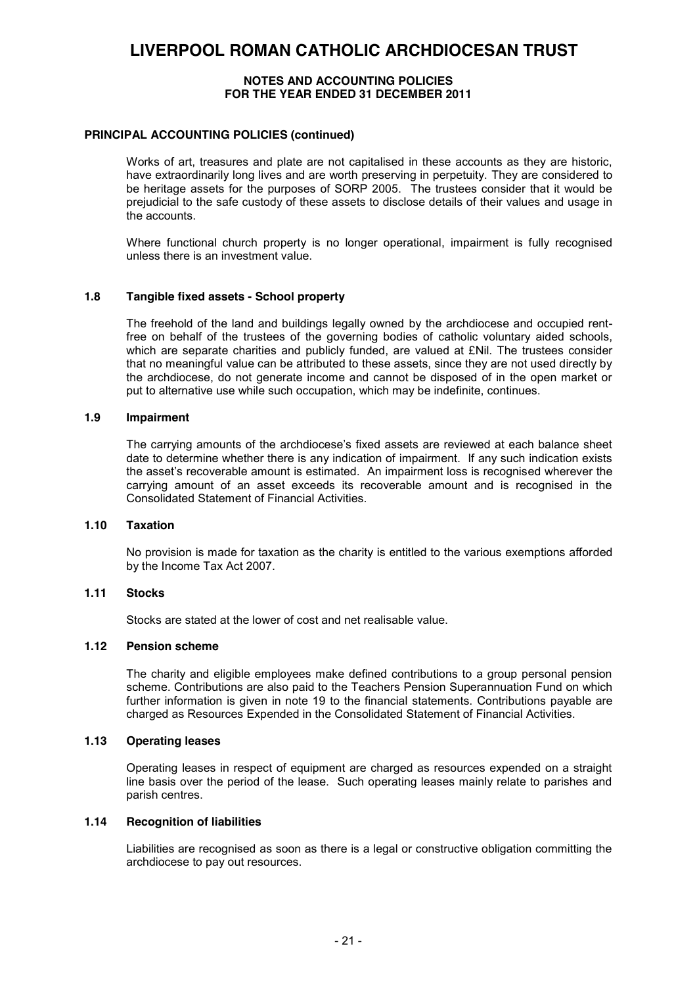### **NOTES AND ACCOUNTING POLICIES FOR THE YEAR ENDED 31 DECEMBER 2011**

# **PRINCIPAL ACCOUNTING POLICIES (continued)**

Works of art, treasures and plate are not capitalised in these accounts as they are historic, have extraordinarily long lives and are worth preserving in perpetuity. They are considered to be heritage assets for the purposes of SORP 2005. The trustees consider that it would be prejudicial to the safe custody of these assets to disclose details of their values and usage in the accounts.

Where functional church property is no longer operational, impairment is fully recognised unless there is an investment value.

### **1.8 Tangible fixed assets - School property**

The freehold of the land and buildings legally owned by the archdiocese and occupied rentfree on behalf of the trustees of the governing bodies of catholic voluntary aided schools, which are separate charities and publicly funded, are valued at £Nil. The trustees consider that no meaningful value can be attributed to these assets, since they are not used directly by the archdiocese, do not generate income and cannot be disposed of in the open market or put to alternative use while such occupation, which may be indefinite, continues.

#### **1.9 Impairment**

The carrying amounts of the archdiocese's fixed assets are reviewed at each balance sheet date to determine whether there is any indication of impairment. If any such indication exists the asset's recoverable amount is estimated. An impairment loss is recognised wherever the carrying amount of an asset exceeds its recoverable amount and is recognised in the Consolidated Statement of Financial Activities.

### **1.10 Taxation**

No provision is made for taxation as the charity is entitled to the various exemptions afforded by the Income Tax Act 2007.

#### **1.11 Stocks**

Stocks are stated at the lower of cost and net realisable value.

#### **1.12 Pension scheme**

The charity and eligible employees make defined contributions to a group personal pension scheme. Contributions are also paid to the Teachers Pension Superannuation Fund on which further information is given in note 19 to the financial statements. Contributions payable are charged as Resources Expended in the Consolidated Statement of Financial Activities.

#### **1.13 Operating leases**

Operating leases in respect of equipment are charged as resources expended on a straight line basis over the period of the lease. Such operating leases mainly relate to parishes and parish centres.

#### **1.14 Recognition of liabilities**

Liabilities are recognised as soon as there is a legal or constructive obligation committing the archdiocese to pay out resources.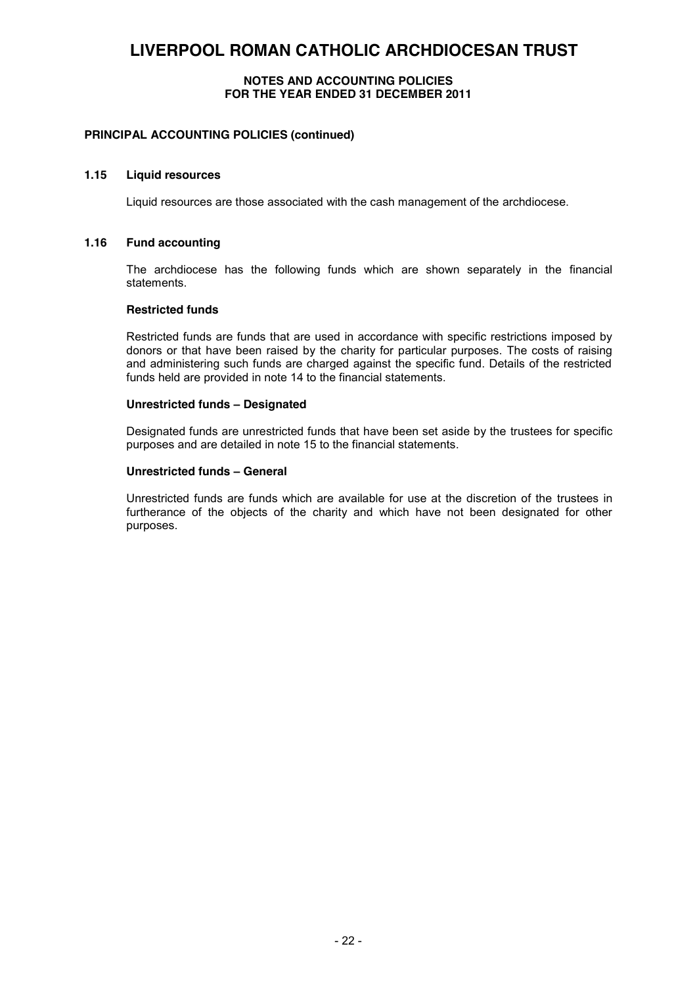### **NOTES AND ACCOUNTING POLICIES FOR THE YEAR ENDED 31 DECEMBER 2011**

# **PRINCIPAL ACCOUNTING POLICIES (continued)**

### **1.15 Liquid resources**

Liquid resources are those associated with the cash management of the archdiocese.

### **1.16 Fund accounting**

The archdiocese has the following funds which are shown separately in the financial statements.

### **Restricted funds**

Restricted funds are funds that are used in accordance with specific restrictions imposed by donors or that have been raised by the charity for particular purposes. The costs of raising and administering such funds are charged against the specific fund. Details of the restricted funds held are provided in note 14 to the financial statements.

### **Unrestricted funds – Designated**

Designated funds are unrestricted funds that have been set aside by the trustees for specific purposes and are detailed in note 15 to the financial statements.

### **Unrestricted funds – General**

Unrestricted funds are funds which are available for use at the discretion of the trustees in furtherance of the objects of the charity and which have not been designated for other purposes.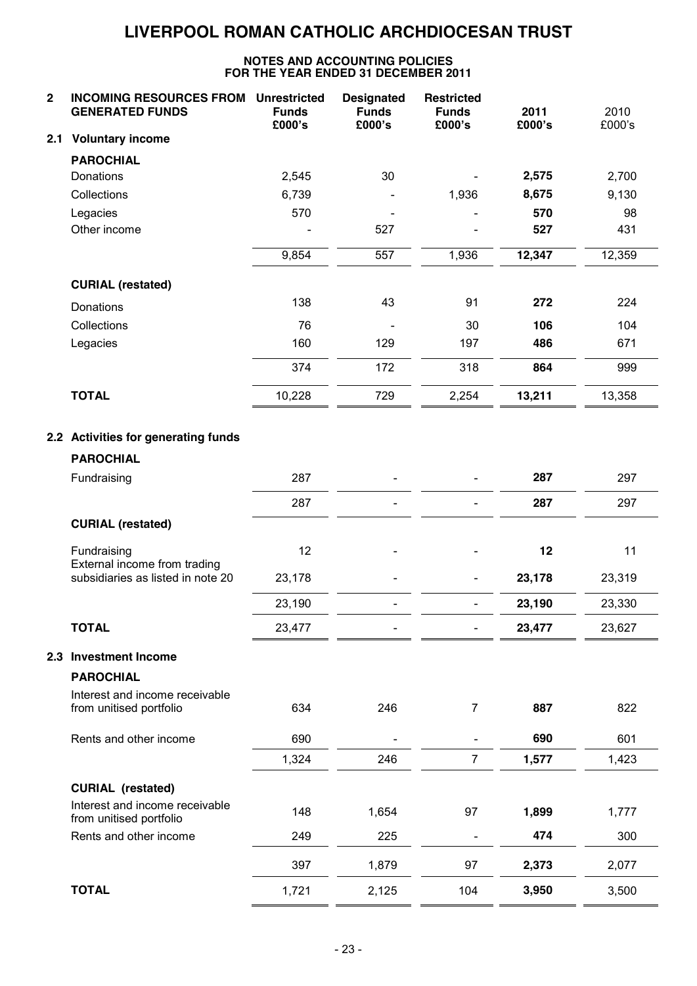| $\overline{2}$ | <b>INCOMING RESOURCES FROM</b><br><b>GENERATED FUNDS</b>          | <b>Unrestricted</b><br><b>Funds</b><br>£000's | <b>Designated</b><br><b>Funds</b><br>£000's | <b>Restricted</b><br><b>Funds</b><br>£000's | 2011<br>£000's | 2010<br>£000's |
|----------------|-------------------------------------------------------------------|-----------------------------------------------|---------------------------------------------|---------------------------------------------|----------------|----------------|
|                | 2.1 Voluntary income                                              |                                               |                                             |                                             |                |                |
|                | <b>PAROCHIAL</b>                                                  |                                               |                                             |                                             |                |                |
|                | Donations                                                         | 2,545                                         | 30                                          |                                             | 2,575          | 2,700          |
|                | Collections                                                       | 6,739                                         |                                             | 1,936                                       | 8,675          | 9,130          |
|                | Legacies                                                          | 570                                           |                                             |                                             | 570            | 98             |
|                | Other income                                                      |                                               | 527                                         |                                             | 527            | 431            |
|                |                                                                   | 9,854                                         | 557                                         | 1,936                                       | 12,347         | 12,359         |
|                | <b>CURIAL (restated)</b>                                          |                                               |                                             |                                             |                |                |
|                | Donations                                                         | 138                                           | 43                                          | 91                                          | 272            | 224            |
|                | Collections                                                       | 76                                            |                                             | 30                                          | 106            | 104            |
|                | Legacies                                                          | 160                                           | 129                                         | 197                                         | 486            | 671            |
|                |                                                                   | 374                                           | 172                                         | 318                                         | 864            | 999            |
|                | <b>TOTAL</b>                                                      | 10,228                                        | 729                                         | 2,254                                       | 13,211         | 13,358         |
|                |                                                                   |                                               |                                             |                                             |                |                |
|                | 2.2 Activities for generating funds                               |                                               |                                             |                                             |                |                |
|                | <b>PAROCHIAL</b>                                                  |                                               |                                             |                                             |                |                |
|                | Fundraising                                                       | 287                                           |                                             |                                             | 287            | 297            |
|                |                                                                   | 287                                           |                                             |                                             | 287            | 297            |
|                | <b>CURIAL (restated)</b>                                          |                                               |                                             |                                             |                |                |
|                | Fundraising                                                       | 12                                            |                                             |                                             | 12             | 11             |
|                | External income from trading<br>subsidiaries as listed in note 20 | 23,178                                        |                                             | $\overline{\phantom{0}}$                    | 23,178         | 23,319         |
|                |                                                                   | 23,190                                        | $\overline{a}$                              | $\overline{\phantom{0}}$                    | 23,190         | 23,330         |
|                | <b>TOTAL</b>                                                      | 23,477                                        |                                             |                                             | 23,477         | 23,627         |
|                | 2.3 Investment Income                                             |                                               |                                             |                                             |                |                |
|                | <b>PAROCHIAL</b>                                                  |                                               |                                             |                                             |                |                |
|                | Interest and income receivable<br>from unitised portfolio         | 634                                           | 246                                         | $\overline{7}$                              | 887            | 822            |
|                | Rents and other income                                            | 690                                           |                                             |                                             | 690            | 601            |
|                |                                                                   |                                               | 246                                         | $\overline{7}$                              |                |                |
|                |                                                                   | 1,324                                         |                                             |                                             | 1,577          | 1,423          |
|                | <b>CURIAL</b> (restated)                                          |                                               |                                             |                                             |                |                |
|                | Interest and income receivable<br>from unitised portfolio         | 148                                           | 1,654                                       | 97                                          | 1,899          | 1,777          |
|                | Rents and other income                                            | 249                                           | 225                                         |                                             | 474            | 300            |
|                |                                                                   | 397                                           | 1,879                                       | 97                                          | 2,373          | 2,077          |
|                | <b>TOTAL</b>                                                      | 1,721                                         | 2,125                                       | 104                                         | 3,950          | 3,500          |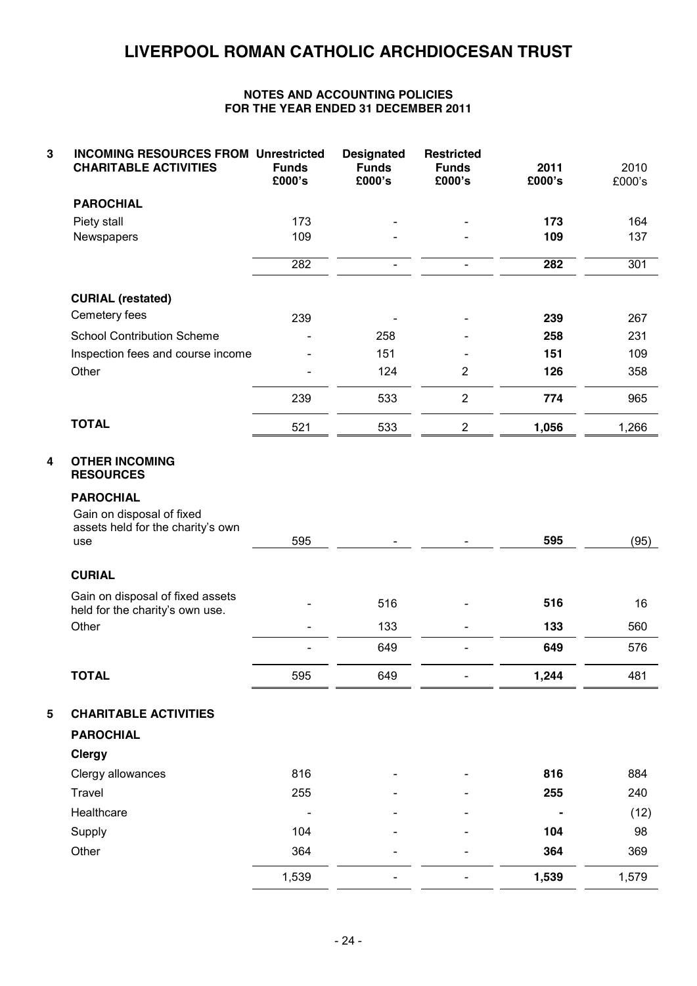| 3 | <b>INCOMING RESOURCES FROM Unrestricted</b><br><b>CHARITABLE ACTIVITIES</b>               | <b>Funds</b><br>£000's | <b>Designated</b><br><b>Funds</b><br>£000's | <b>Restricted</b><br><b>Funds</b><br>£000's | 2011<br>£000's | 2010<br>£000's |
|---|-------------------------------------------------------------------------------------------|------------------------|---------------------------------------------|---------------------------------------------|----------------|----------------|
|   | <b>PAROCHIAL</b>                                                                          |                        |                                             |                                             |                |                |
|   | Piety stall                                                                               | 173                    |                                             |                                             | 173            | 164            |
|   | Newspapers                                                                                | 109                    |                                             |                                             | 109            | 137            |
|   |                                                                                           | 282                    | $\overline{a}$                              |                                             | 282            | 301            |
|   | <b>CURIAL</b> (restated)                                                                  |                        |                                             |                                             |                |                |
|   | Cemetery fees                                                                             | 239                    |                                             | $\qquad \qquad \blacksquare$                | 239            | 267            |
|   | <b>School Contribution Scheme</b>                                                         |                        | 258                                         |                                             | 258            | 231            |
|   | Inspection fees and course income                                                         |                        | 151                                         |                                             | 151            | 109            |
|   | Other                                                                                     |                        | 124                                         | $\overline{c}$                              | 126            | 358            |
|   |                                                                                           | 239                    | 533                                         | $\overline{c}$                              | 774            | 965            |
|   | <b>TOTAL</b>                                                                              | 521                    | 533                                         | $\overline{c}$                              | 1,056          | 1,266          |
| 4 | <b>OTHER INCOMING</b><br><b>RESOURCES</b>                                                 |                        |                                             |                                             |                |                |
|   | <b>PAROCHIAL</b><br>Gain on disposal of fixed<br>assets held for the charity's own<br>use | 595                    |                                             |                                             | 595            | (95)           |
|   | <b>CURIAL</b>                                                                             |                        |                                             |                                             |                |                |
|   | Gain on disposal of fixed assets<br>held for the charity's own use.                       |                        | 516                                         |                                             | 516            | 16             |
|   | Other                                                                                     | -                      | 133                                         | $\overline{\phantom{a}}$                    | 133            | 560            |
|   |                                                                                           |                        | 649                                         |                                             | 649            | 576            |
|   | <b>TOTAL</b>                                                                              | 595                    | 649                                         |                                             | 1,244          | 481            |
| 5 | <b>CHARITABLE ACTIVITIES</b>                                                              |                        |                                             |                                             |                |                |
|   | <b>PAROCHIAL</b>                                                                          |                        |                                             |                                             |                |                |
|   | <b>Clergy</b>                                                                             |                        |                                             |                                             |                |                |
|   | Clergy allowances                                                                         | 816                    |                                             |                                             | 816            | 884            |
|   | Travel                                                                                    | 255                    |                                             |                                             | 255            | 240            |
|   | Healthcare                                                                                |                        |                                             |                                             |                | (12)           |
|   | Supply                                                                                    | 104                    |                                             |                                             | 104            | 98             |
|   | Other                                                                                     | 364                    |                                             |                                             | 364            | 369            |
|   |                                                                                           | 1,539                  |                                             |                                             | 1,539          | 1,579          |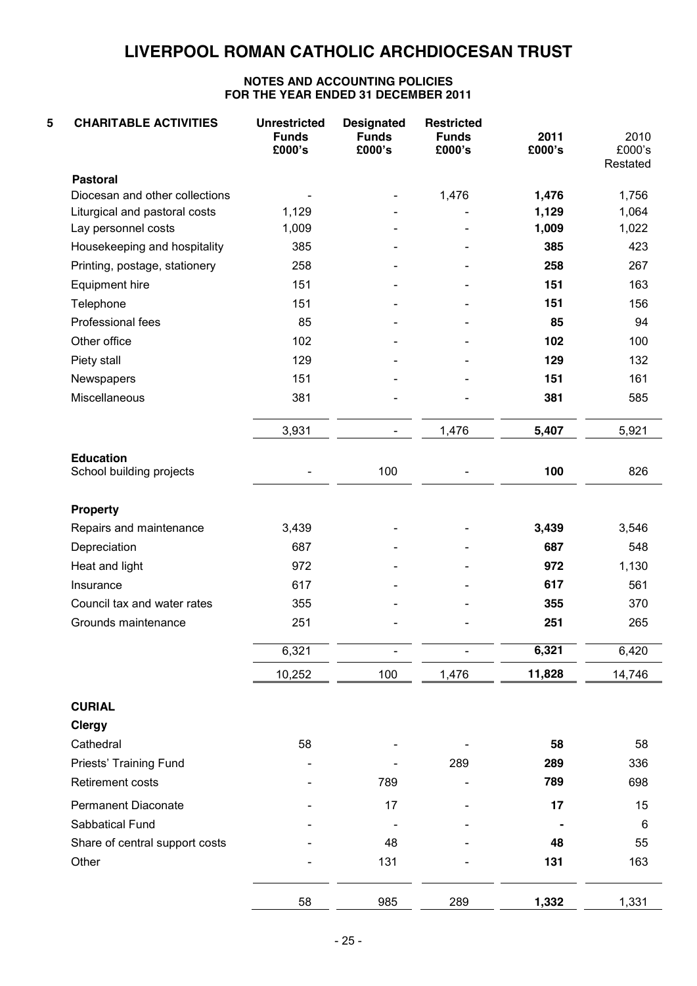| 5<br><b>CHARITABLE ACTIVITIES</b> | <b>Unrestricted</b><br><b>Funds</b><br>£000's | <b>Designated</b><br><b>Funds</b><br>£000's | <b>Restricted</b><br><b>Funds</b><br>£000's | 2011<br>£000's | 2010<br>£000's<br>Restated |
|-----------------------------------|-----------------------------------------------|---------------------------------------------|---------------------------------------------|----------------|----------------------------|
| <b>Pastoral</b>                   |                                               |                                             |                                             |                |                            |
| Diocesan and other collections    |                                               |                                             | 1,476                                       | 1,476          | 1,756                      |
| Liturgical and pastoral costs     | 1,129                                         |                                             |                                             | 1,129          | 1,064                      |
| Lay personnel costs               | 1,009                                         |                                             |                                             | 1,009          | 1,022                      |
| Housekeeping and hospitality      | 385                                           |                                             |                                             | 385            | 423                        |
| Printing, postage, stationery     | 258                                           |                                             |                                             | 258            | 267                        |
| Equipment hire                    | 151                                           |                                             |                                             | 151            | 163                        |
| Telephone                         | 151                                           |                                             |                                             | 151            | 156                        |
| Professional fees                 | 85                                            |                                             |                                             | 85             | 94                         |
| Other office                      | 102                                           |                                             |                                             | 102            | 100                        |
| Piety stall                       | 129                                           |                                             |                                             | 129            | 132                        |
| Newspapers                        | 151                                           |                                             |                                             | 151            | 161                        |
| Miscellaneous                     | 381                                           |                                             |                                             | 381            | 585                        |
|                                   | 3,931                                         |                                             | 1,476                                       | 5,407          | 5,921                      |
| <b>Education</b>                  |                                               |                                             |                                             |                |                            |
| School building projects          |                                               | 100                                         |                                             | 100            | 826                        |
| <b>Property</b>                   |                                               |                                             |                                             |                |                            |
| Repairs and maintenance           | 3,439                                         |                                             | $\blacksquare$                              | 3,439          | 3,546                      |
| Depreciation                      | 687                                           |                                             |                                             | 687            | 548                        |
| Heat and light                    | 972                                           |                                             |                                             | 972            | 1,130                      |
| Insurance                         | 617                                           |                                             |                                             | 617            | 561                        |
| Council tax and water rates       | 355                                           |                                             |                                             | 355            | 370                        |
| Grounds maintenance               | 251                                           |                                             |                                             | 251            | 265                        |
|                                   | 6,321                                         | $\overline{\phantom{0}}$                    | $\overline{\phantom{0}}$                    | 6,321          | 6,420                      |
|                                   | 10,252                                        | 100                                         | 1,476                                       | 11,828         | 14,746                     |
| <b>CURIAL</b>                     |                                               |                                             |                                             |                |                            |
| <b>Clergy</b>                     |                                               |                                             |                                             |                |                            |
| Cathedral                         | 58                                            |                                             |                                             | 58             | 58                         |
| Priests' Training Fund            |                                               |                                             | 289                                         | 289            | 336                        |
| Retirement costs                  |                                               | 789                                         |                                             | 789            | 698                        |
| Permanent Diaconate               |                                               | 17                                          |                                             | 17             | 15                         |
| Sabbatical Fund                   |                                               |                                             |                                             |                | 6                          |
| Share of central support costs    |                                               | 48                                          |                                             | 48             | 55                         |
| Other                             |                                               | 131                                         |                                             | 131            | 163                        |
|                                   | 58                                            | 985                                         | 289                                         | 1,332          | 1,331                      |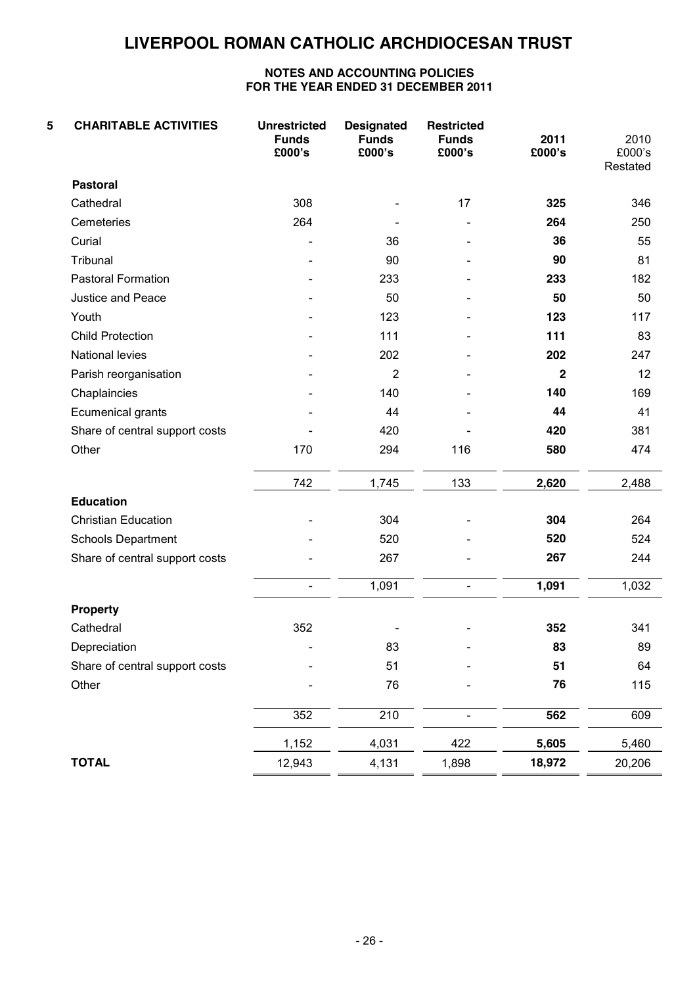| 5 | <b>CHARITABLE ACTIVITIES</b>   | <b>Unrestricted</b><br><b>Funds</b><br>£000's | <b>Designated</b><br><b>Funds</b><br>£000's | <b>Restricted</b><br><b>Funds</b><br>£000's | 2011<br>£000's | 2010<br>£000's<br>Restated |
|---|--------------------------------|-----------------------------------------------|---------------------------------------------|---------------------------------------------|----------------|----------------------------|
|   | <b>Pastoral</b>                |                                               |                                             |                                             |                |                            |
|   | Cathedral                      | 308                                           |                                             | 17                                          | 325            | 346                        |
|   | Cemeteries                     | 264                                           |                                             |                                             | 264            | 250                        |
|   | Curial                         |                                               | 36                                          |                                             | 36             | 55                         |
|   | Tribunal                       |                                               | 90                                          |                                             | 90             | 81                         |
|   | Pastoral Formation             |                                               | 233                                         |                                             | 233            | 182                        |
|   | Justice and Peace              |                                               | 50                                          |                                             | 50             | 50                         |
|   | Youth                          |                                               | 123                                         |                                             | 123            | 117                        |
|   | <b>Child Protection</b>        |                                               | 111                                         |                                             | 111            | 83                         |
|   | <b>National levies</b>         |                                               | 202                                         |                                             | 202            | 247                        |
|   | Parish reorganisation          |                                               | $\overline{2}$                              |                                             | $\mathbf 2$    | 12                         |
|   | Chaplaincies                   |                                               | 140                                         |                                             | 140            | 169                        |
|   | Ecumenical grants              |                                               | 44                                          |                                             | 44             | 41                         |
|   | Share of central support costs |                                               | 420                                         |                                             | 420            | 381                        |
|   | Other                          | 170                                           | 294                                         | 116                                         | 580            | 474                        |
|   |                                | 742                                           | 1,745                                       | 133                                         | 2,620          | 2,488                      |
|   | <b>Education</b>               |                                               |                                             |                                             |                |                            |
|   | <b>Christian Education</b>     |                                               | 304                                         |                                             | 304            | 264                        |
|   | <b>Schools Department</b>      |                                               | 520                                         |                                             | 520            | 524                        |
|   | Share of central support costs |                                               | 267                                         |                                             | 267            | 244                        |
|   |                                | $\blacksquare$                                | 1,091                                       | $\overline{\phantom{0}}$                    | 1,091          | 1,032                      |
|   | <b>Property</b>                |                                               |                                             |                                             |                |                            |
|   | Cathedral                      | 352                                           |                                             |                                             | 352            | 341                        |
|   | Depreciation                   |                                               | 83                                          |                                             | 83             | 89                         |
|   | Share of central support costs |                                               | 51                                          |                                             | 51             | 64                         |
|   | Other                          |                                               | 76                                          |                                             | 76             | 115                        |
|   |                                | 352                                           | 210                                         |                                             | 562            | 609                        |
|   |                                | 1,152                                         | 4,031                                       | 422                                         | 5,605          | 5,460                      |
|   | <b>TOTAL</b>                   | 12,943                                        | 4,131                                       | 1,898                                       | 18,972         | 20,206                     |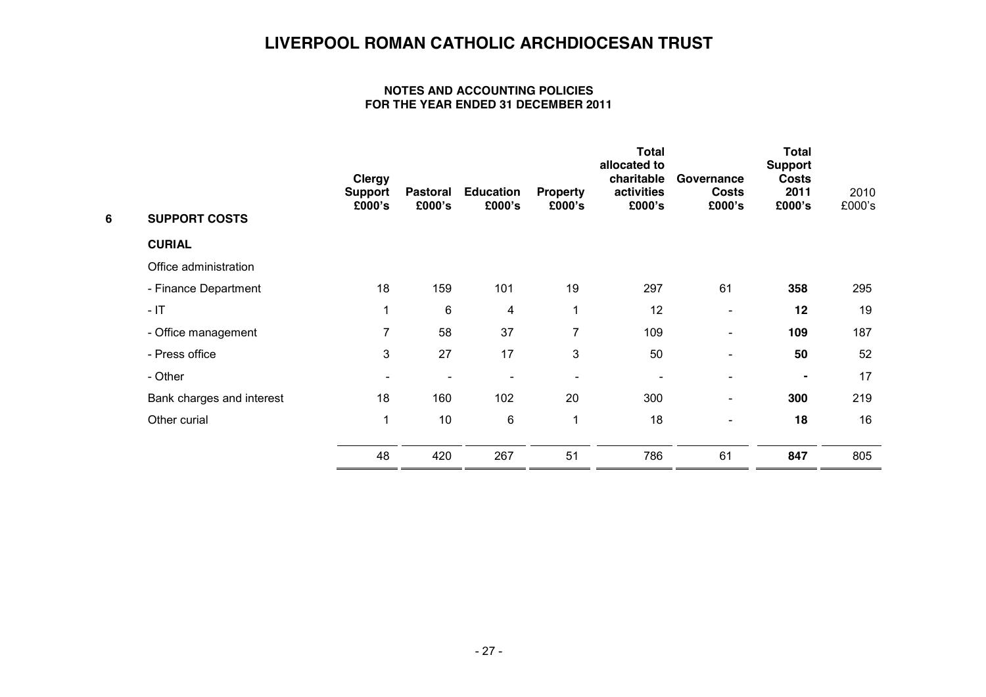| 6 | <b>SUPPORT COSTS</b>      | <b>Clergy</b><br><b>Support</b><br>£000's | Pastoral<br>£000's | <b>Education</b><br>£000's | <b>Property</b><br>£000's | <b>Total</b><br>allocated to<br>charitable<br>activities<br>£000's | Governance<br><b>Costs</b><br>£000's | <b>Total</b><br><b>Support</b><br><b>Costs</b><br>2011<br>£000's | 2010<br>£000's |
|---|---------------------------|-------------------------------------------|--------------------|----------------------------|---------------------------|--------------------------------------------------------------------|--------------------------------------|------------------------------------------------------------------|----------------|
|   | <b>CURIAL</b>             |                                           |                    |                            |                           |                                                                    |                                      |                                                                  |                |
|   | Office administration     |                                           |                    |                            |                           |                                                                    |                                      |                                                                  |                |
|   | - Finance Department      | 18                                        | 159                | 101                        | 19                        | 297                                                                | 61                                   | 358                                                              | 295            |
|   | $-1T$                     |                                           | 6                  | 4                          | 1                         | 12                                                                 | $\overline{\phantom{a}}$             | 12                                                               | 19             |
|   | - Office management       | 7                                         | 58                 | 37                         | $\overline{7}$            | 109                                                                | $\overline{\phantom{a}}$             | 109                                                              | 187            |
|   | - Press office            | 3                                         | 27                 | 17                         | 3                         | 50                                                                 | $\blacksquare$                       | 50                                                               | 52             |
|   | - Other                   |                                           |                    | $\overline{\phantom{a}}$   | $\overline{\phantom{a}}$  | $\blacksquare$                                                     | $\overline{\phantom{0}}$             |                                                                  | 17             |
|   | Bank charges and interest | 18                                        | 160                | 102                        | 20                        | 300                                                                | $\overline{\phantom{a}}$             | 300                                                              | 219            |
|   | Other curial              | 1                                         | 10                 | 6                          | 1                         | 18                                                                 | $\overline{\phantom{a}}$             | 18                                                               | 16             |
|   |                           |                                           |                    |                            |                           |                                                                    |                                      |                                                                  |                |
|   |                           | 48                                        | 420                | 267                        | 51                        | 786                                                                | 61                                   | 847                                                              | 805            |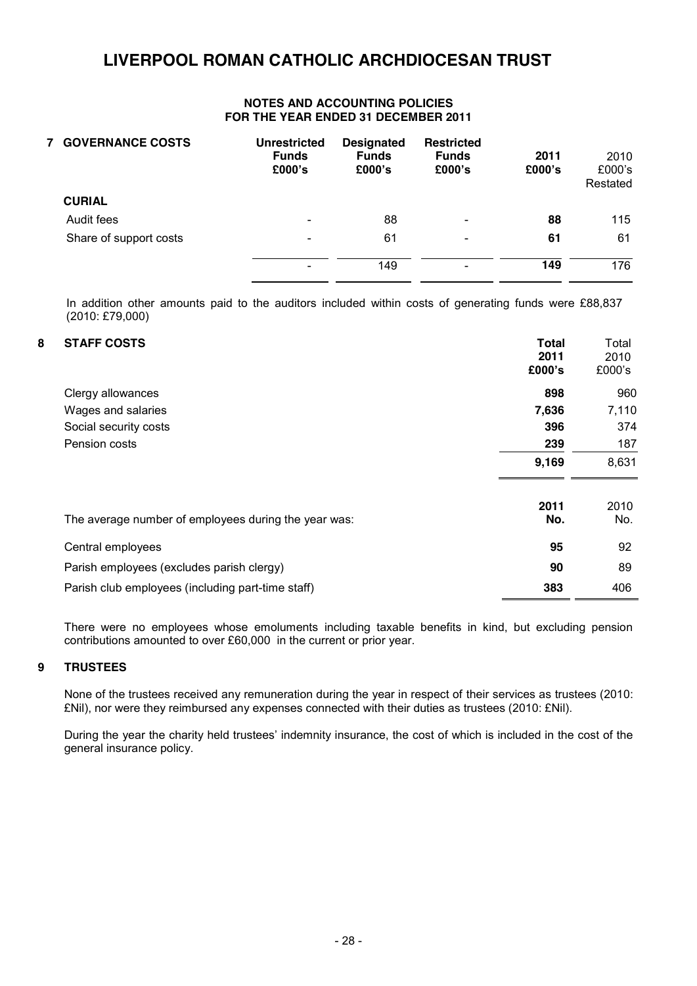### **NOTES AND ACCOUNTING POLICIES FOR THE YEAR ENDED 31 DECEMBER 2011**

| <b>7 GOVERNANCE COSTS</b> | <b>Unrestricted</b><br><b>Funds</b><br>£000's | <b>Designated</b><br><b>Funds</b><br>£000's | <b>Restricted</b><br><b>Funds</b><br>£000's | 2011<br>£000's | 2010<br>£000's<br>Restated |
|---------------------------|-----------------------------------------------|---------------------------------------------|---------------------------------------------|----------------|----------------------------|
| <b>CURIAL</b>             |                                               |                                             |                                             |                |                            |
| Audit fees                | $\overline{\phantom{a}}$                      | 88                                          | $\overline{\phantom{a}}$                    | 88             | 115                        |
| Share of support costs    | $\blacksquare$                                | 61                                          | $\overline{\phantom{a}}$                    | 61             | 61                         |
|                           | $\blacksquare$                                | 149                                         | $\blacksquare$                              | 149            | 176                        |

In addition other amounts paid to the auditors included within costs of generating funds were £88,837 (2010: £79,000)

| 8<br><b>STAFF COSTS</b>                              | Total<br>2011<br>£000's | Total<br>2010<br>£000's |
|------------------------------------------------------|-------------------------|-------------------------|
| Clergy allowances                                    | 898                     | 960                     |
| Wages and salaries                                   | 7,636                   | 7,110                   |
| Social security costs                                | 396                     | 374                     |
| Pension costs                                        | 239                     | 187                     |
|                                                      | 9,169                   | 8,631                   |
| The average number of employees during the year was: | 2011<br>No.             | 2010<br>No.             |
| Central employees                                    | 95                      | 92                      |
| Parish employees (excludes parish clergy)            | 90                      | 89                      |
| Parish club employees (including part-time staff)    | 383                     | 406                     |

There were no employees whose emoluments including taxable benefits in kind, but excluding pension contributions amounted to over £60,000 in the current or prior year.

#### **9 TRUSTEES**

None of the trustees received any remuneration during the year in respect of their services as trustees (2010: £Nil), nor were they reimbursed any expenses connected with their duties as trustees (2010: £Nil).

During the year the charity held trustees' indemnity insurance, the cost of which is included in the cost of the general insurance policy.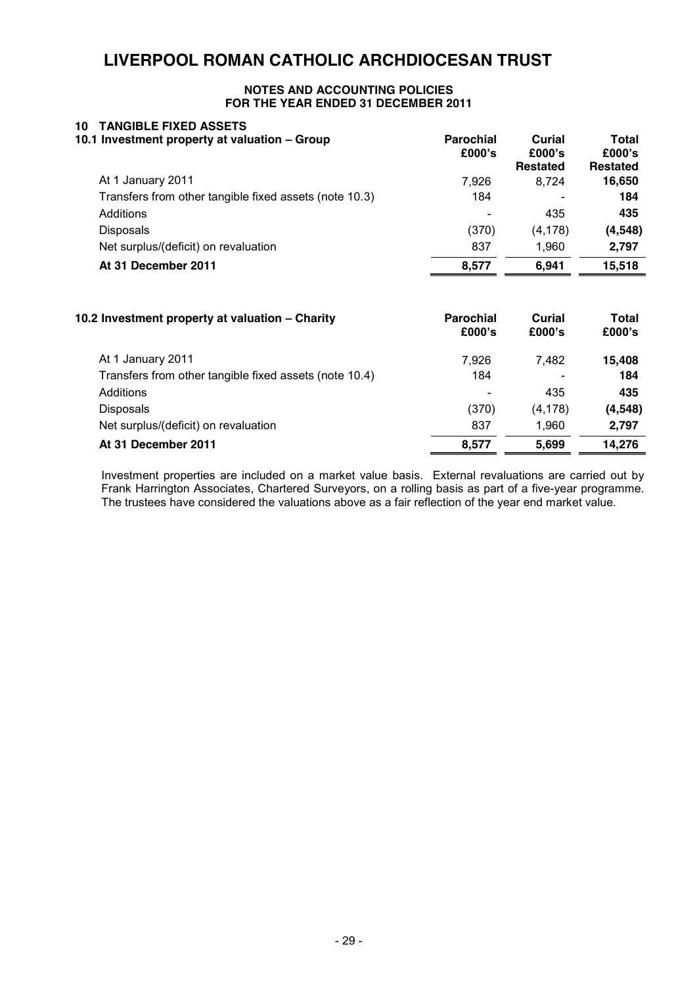### **NOTES AND ACCOUNTING POLICIES FOR THE YEAR ENDED 31 DECEMBER 2011**

#### **10 TANGIBLE FIXED ASSETS 10.1 Investment property at valuation – Group Parochial £000's Curial £000's Restated Total £000's Restated** At 1 January 2011 7,926 8,724 **16,650** Transfers from other tangible fixed assets (note 10.3) 184 **184** - **184** Additions - 435 **435** Disposals (370) (4,178) **(4,548)** Net surplus/(deficit) on revaluation **837** 1,960 **2,797 At 31 December 2011 8,577 6,941 15,518 10.2 Investment property at valuation – Charity Parochial £000's Curial £000's Total £000's** At 1 January 2011 7,926 7,482 **15,408** Transfers from other tangible fixed assets (note 10.4) 184 **184** - **184** Additions - 435 **435** Disposals (370) (4,178) **(4,548)**

# Net surplus/(deficit) on revaluation **837** 1,960 **2,797 At 31 December 2011 8,577 5,699 14,276**

Investment properties are included on a market value basis. External revaluations are carried out by Frank Harrington Associates, Chartered Surveyors, on a rolling basis as part of a five-year programme. The trustees have considered the valuations above as a fair reflection of the year end market value.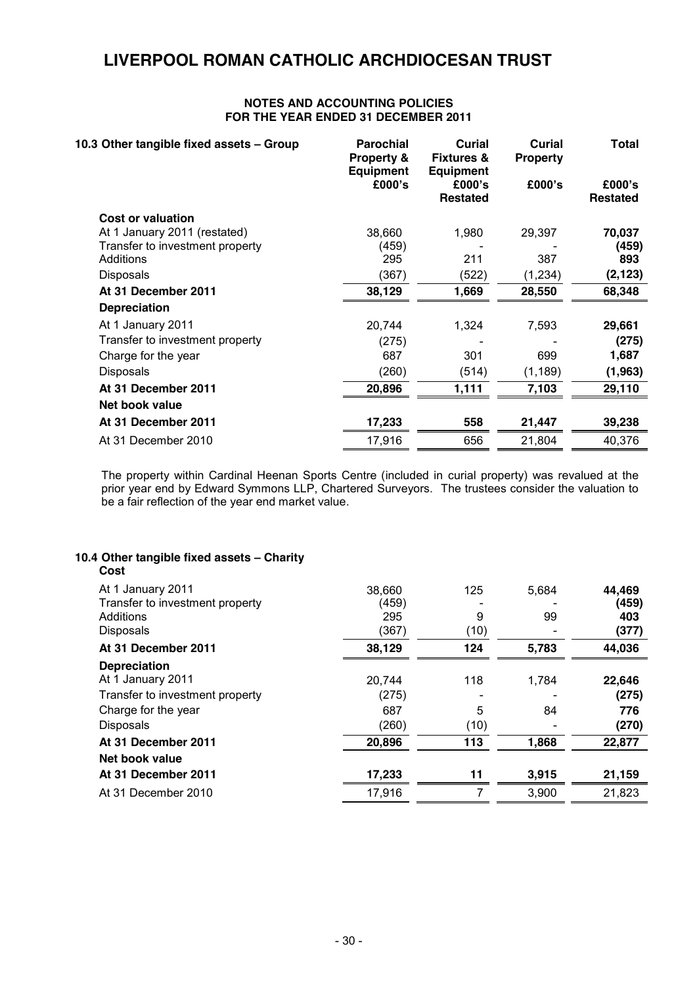#### **NOTES AND ACCOUNTING POLICIES FOR THE YEAR ENDED 31 DECEMBER 2011**

| 10.3 Other tangible fixed assets - Group | <b>Parochial</b><br>Property &<br><b>Equipment</b> | Curial<br><b>Fixtures &amp;</b><br><b>Equipment</b> | Curial<br><b>Property</b> | Total                     |
|------------------------------------------|----------------------------------------------------|-----------------------------------------------------|---------------------------|---------------------------|
|                                          | £000's                                             | £000's<br><b>Restated</b>                           | £000's                    | £000's<br><b>Restated</b> |
| Cost or valuation                        |                                                    |                                                     |                           |                           |
| At 1 January 2011 (restated)             | 38,660                                             | 1,980                                               | 29,397                    | 70,037                    |
| Transfer to investment property          | (459)                                              |                                                     |                           | (459)                     |
| Additions                                | 295                                                | 211                                                 | 387                       | 893                       |
| Disposals                                | (367)                                              | (522)                                               | (1,234)                   | (2, 123)                  |
| At 31 December 2011                      | 38,129                                             | 1,669                                               | 28,550                    | 68,348                    |
| <b>Depreciation</b>                      |                                                    |                                                     |                           |                           |
| At 1 January 2011                        | 20,744                                             | 1,324                                               | 7,593                     | 29,661                    |
| Transfer to investment property          | (275)                                              |                                                     |                           | (275)                     |
| Charge for the year                      | 687                                                | 301                                                 | 699                       | 1,687                     |
| Disposals                                | (260)                                              | (514)                                               | (1, 189)                  | (1,963)                   |
| At 31 December 2011                      | 20,896                                             | 1,111                                               | 7,103                     | 29,110                    |
| Net book value                           |                                                    |                                                     |                           |                           |
| At 31 December 2011                      | 17,233                                             | 558                                                 | 21,447                    | 39,238                    |
| At 31 December 2010                      | 17,916                                             | 656                                                 | 21,804                    | 40,376                    |

The property within Cardinal Heenan Sports Centre (included in curial property) was revalued at the prior year end by Edward Symmons LLP, Chartered Surveyors. The trustees consider the valuation to be a fair reflection of the year end market value.

**10.4 Other tangible fixed assets – Charity** 

# **Cost** At 1 January 2011 38,660 125 5,684 **44,469** Transfer to investment property  $(459)$   $(459)$ <br>Additions  $295$  99  $99$   $403$ Additions 295 9 99 **403** Disposals (367) (10) - **(377) At 31 December 2011 38,129 124 5,783 44,036 Depreciation** At 1 January 2011 20,744 118 1,784 **22,646** Transfer to investment property  $(275)$   $(275)$ Charge for the year **687** 687 5 84 776 Disposals (260) (10) - **(270) At 31 December 2011 20,896 113 1,868 22,877 Net book value At 31 December 2011 17,233 11 3,915 21,159** At 31 December 2010 17,916 7 3,900 21,823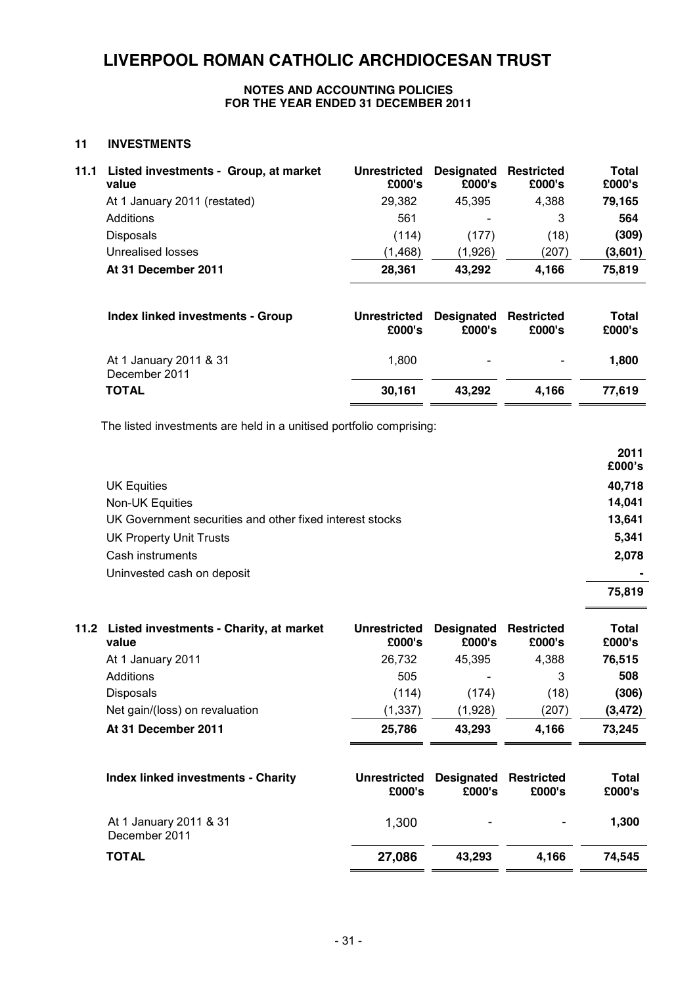# **NOTES AND ACCOUNTING POLICIES FOR THE YEAR ENDED 31 DECEMBER 2011**

# **11 INVESTMENTS**

| 11.1 | Listed investments - Group, at market<br>value | <b>Unrestricted</b><br>£000's | <b>Designated</b><br>£000's | <b>Restricted</b><br>£000's | Total<br>£000's |
|------|------------------------------------------------|-------------------------------|-----------------------------|-----------------------------|-----------------|
|      | At 1 January 2011 (restated)                   | 29,382                        | 45.395                      | 4,388                       | 79,165          |
|      | Additions                                      | 561                           | $\overline{\phantom{a}}$    | 3                           | 564             |
|      | <b>Disposals</b>                               | (114)                         | (177)                       | (18)                        | (309)           |
|      | Unrealised losses                              | (1,468)                       | (1,926)                     | (207)                       | (3,601)         |
|      | At 31 December 2011                            | 28,361                        | 43.292                      | 4.166                       | 75,819          |

| Index linked investments - Group        | <b>Unrestricted</b><br>£000's | <b>Designated Restricted</b><br>£000's | £000's | Total<br>£000's |
|-----------------------------------------|-------------------------------|----------------------------------------|--------|-----------------|
| At 1 January 2011 & 31<br>December 2011 | 1.800                         | $\blacksquare$                         |        | 1,800           |
| <b>TOTAL</b>                            | 30.161                        | 43.292                                 | 4.166  | 77.619          |

The listed investments are held in a unitised portfolio comprising:

|                                                          | 2011<br>£000's |
|----------------------------------------------------------|----------------|
| <b>UK Equities</b>                                       | 40,718         |
| Non-UK Equities                                          | 14,041         |
| UK Government securities and other fixed interest stocks | 13,641         |
| <b>UK Property Unit Trusts</b>                           | 5,341          |
| Cash instruments                                         | 2,078          |
| Uninvested cash on deposit                               |                |

**75,819**

| 11.2 Listed investments - Charity, at market<br>value | <b>Unrestricted</b><br>£000's | Designated<br>£000's | Restricted<br>£000's | Total<br>£000's |
|-------------------------------------------------------|-------------------------------|----------------------|----------------------|-----------------|
| At 1 January 2011                                     | 26,732                        | 45,395               | 4,388                | 76,515          |
| Additions                                             | 505                           | $\blacksquare$       | 3                    | 508             |
| <b>Disposals</b>                                      | (114)                         | (174)                | (18)                 | (306)           |
| Net gain/(loss) on revaluation                        | (1, 337)                      | (1,928)              | (207)                | (3, 472)        |
| At 31 December 2011                                   | 25,786                        | 43.293               | 4.166                | 73.245          |
|                                                       |                               |                      |                      |                 |

| <b>Index linked investments - Charity</b> | <b>Unrestricted</b><br>£000's | <b>Designated Restricted</b><br>£000's | £000's                   | Total<br>£000's |
|-------------------------------------------|-------------------------------|----------------------------------------|--------------------------|-----------------|
| At 1 January 2011 & 31<br>December 2011   | 1,300                         | $\overline{\phantom{0}}$               | $\overline{\phantom{a}}$ | 1,300           |
| <b>TOTAL</b>                              | 27,086                        | 43.293                                 | 4.166                    | 74.545          |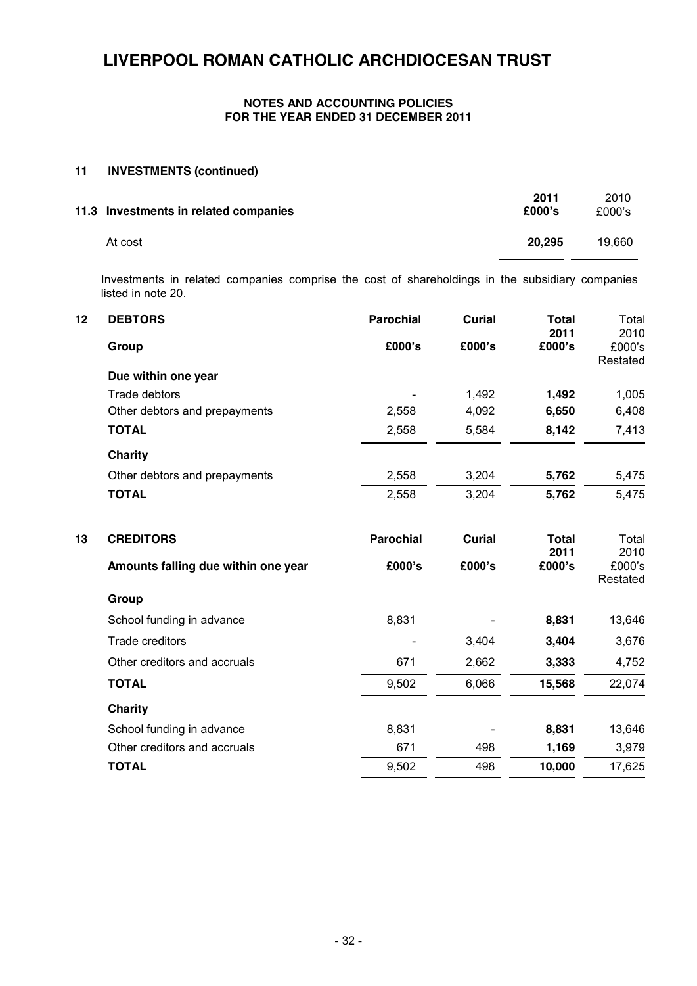### **NOTES AND ACCOUNTING POLICIES FOR THE YEAR ENDED 31 DECEMBER 2011**

# **11 INVESTMENTS (continued)**

| 11.3 Investments in related companies | 2011<br>£000's | 2010<br>£000's |
|---------------------------------------|----------------|----------------|
| At cost                               | 20,295         | 19.660         |

Investments in related companies comprise the cost of shareholdings in the subsidiary companies listed in note 20.

| 12 | <b>DEBTORS</b>                      | <b>Parochial</b> | <b>Curial</b> | <b>Total</b><br>2011 | Total<br>2010      |
|----|-------------------------------------|------------------|---------------|----------------------|--------------------|
|    | Group                               | £000's           | £000's        | £000's               | £000's<br>Restated |
|    | Due within one year                 |                  |               |                      |                    |
|    | Trade debtors                       |                  | 1,492         | 1,492                | 1,005              |
|    | Other debtors and prepayments       | 2,558            | 4,092         | 6,650                | 6,408              |
|    | <b>TOTAL</b>                        | 2,558            | 5,584         | 8,142                | 7,413              |
|    | <b>Charity</b>                      |                  |               |                      |                    |
|    | Other debtors and prepayments       | 2,558            | 3,204         | 5,762                | 5,475              |
|    | <b>TOTAL</b>                        | 2,558            | 3,204         | 5,762                | 5,475              |
| 13 | <b>CREDITORS</b>                    | <b>Parochial</b> | <b>Curial</b> | <b>Total</b><br>2011 | Total<br>2010      |
|    | Amounts falling due within one year | £000's           | £000's        | £000's               | £000's<br>Restated |
|    | Group                               |                  |               |                      |                    |
|    | School funding in advance           | 8,831            |               | 8,831                | 13,646             |
|    | Trade creditors                     |                  | 3,404         | 3,404                | 3,676              |
|    | Other creditors and accruals        | 671              | 2,662         | 3,333                | 4,752              |
|    | <b>TOTAL</b>                        | 9,502            | 6,066         | 15,568               | 22,074             |
|    | <b>Charity</b>                      |                  |               |                      |                    |
|    | School funding in advance           | 8,831            |               | 8,831                | 13,646             |
|    | Other creditors and accruals        | 671              | 498           | 1,169                | 3,979              |
|    | <b>TOTAL</b>                        | 9,502            | 498           | 10,000               | 17,625             |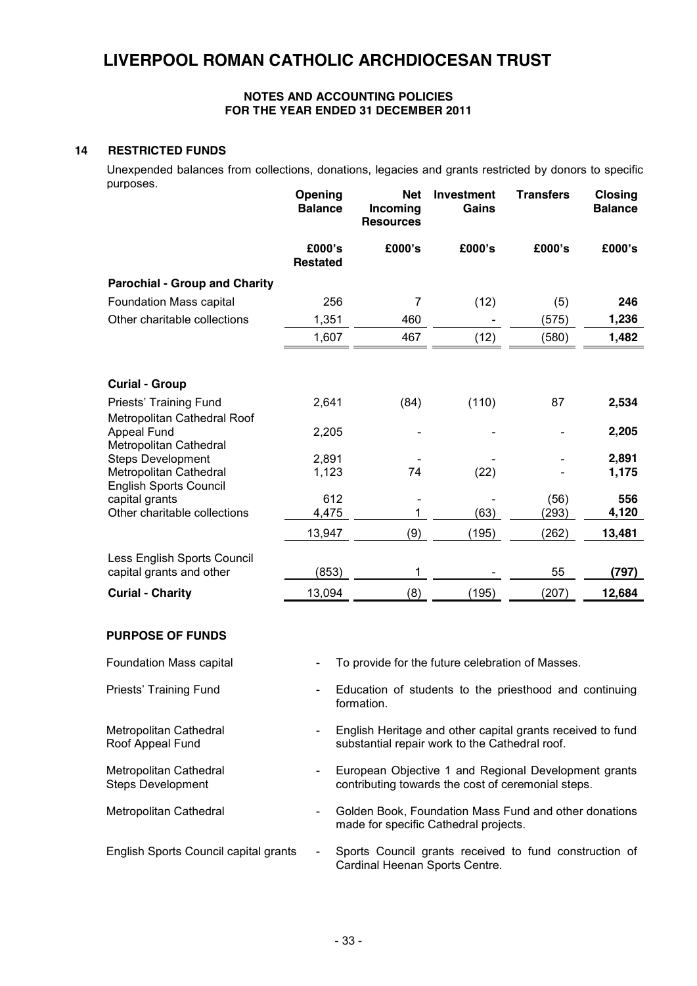# **NOTES AND ACCOUNTING POLICIES FOR THE YEAR ENDED 31 DECEMBER 2011**

# **14 RESTRICTED FUNDS**

Metropolitan Cathedral Roof Appeal Fund

Metropolitan Cathedral Steps Development

Unexpended balances from collections, donations, legacies and grants restricted by donors to specific purposes. **Transfers Closing**

|                                                         | Opening<br><b>Balance</b> | <b>Net</b><br>Incoming<br><b>Resources</b> | <b>Investment</b><br>Gains | <b>Transfers</b>                                 | Closing<br><b>Balance</b> |  |
|---------------------------------------------------------|---------------------------|--------------------------------------------|----------------------------|--------------------------------------------------|---------------------------|--|
|                                                         | £000's<br><b>Restated</b> | £000's                                     | £000's                     | £000's                                           | £000's                    |  |
| <b>Parochial - Group and Charity</b>                    |                           |                                            |                            |                                                  |                           |  |
| <b>Foundation Mass capital</b>                          | 256                       | $\overline{7}$                             | (12)                       | (5)                                              | 246                       |  |
| Other charitable collections                            | 1,351                     | 460                                        |                            | (575)                                            | 1,236                     |  |
|                                                         | 1,607                     | 467                                        | (12)                       | (580)                                            | 1,482                     |  |
| <b>Curial - Group</b>                                   |                           |                                            |                            |                                                  |                           |  |
| Priests' Training Fund                                  | 2,641                     | (84)                                       | (110)                      | 87                                               | 2,534                     |  |
| Metropolitan Cathedral Roof                             |                           |                                            |                            |                                                  |                           |  |
| <b>Appeal Fund</b><br>Metropolitan Cathedral            | 2,205                     |                                            |                            |                                                  | 2,205                     |  |
| <b>Steps Development</b>                                | 2,891                     |                                            |                            |                                                  | 2,891                     |  |
| Metropolitan Cathedral<br><b>English Sports Council</b> | 1,123                     | 74                                         | (22)                       |                                                  | 1,175                     |  |
| capital grants                                          | 612                       |                                            |                            | (56)                                             | 556                       |  |
| Other charitable collections                            | 4,475                     | 1                                          | (63)                       | (293)                                            | 4,120                     |  |
|                                                         | 13,947                    | (9)                                        | (195)                      | (262)                                            | 13,481                    |  |
| Less English Sports Council<br>capital grants and other | (853)                     | $\mathbf 1$                                |                            | 55                                               | (797)                     |  |
|                                                         |                           |                                            |                            |                                                  |                           |  |
| <b>Curial - Charity</b>                                 | 13,094                    | (8)                                        | (195)                      | (207)                                            | 12,684                    |  |
| <b>PURPOSE OF FUNDS</b>                                 |                           |                                            |                            |                                                  |                           |  |
| <b>Foundation Mass capital</b>                          |                           |                                            |                            | To provide for the future celebration of Masses. |                           |  |

- Priests' Training Fund **-** Education of students to the priesthood and continuing formation.
	- English Heritage and other capital grants received to fund substantial repair work to the Cathedral roof.
	- European Objective 1 and Regional Development grants contributing towards the cost of ceremonial steps.
- Metropolitan Cathedral  **Golden Book, Foundation Mass Fund and other donations** made for specific Cathedral projects.
- English Sports Council capital grants Sports Council grants received to fund construction of Cardinal Heenan Sports Centre.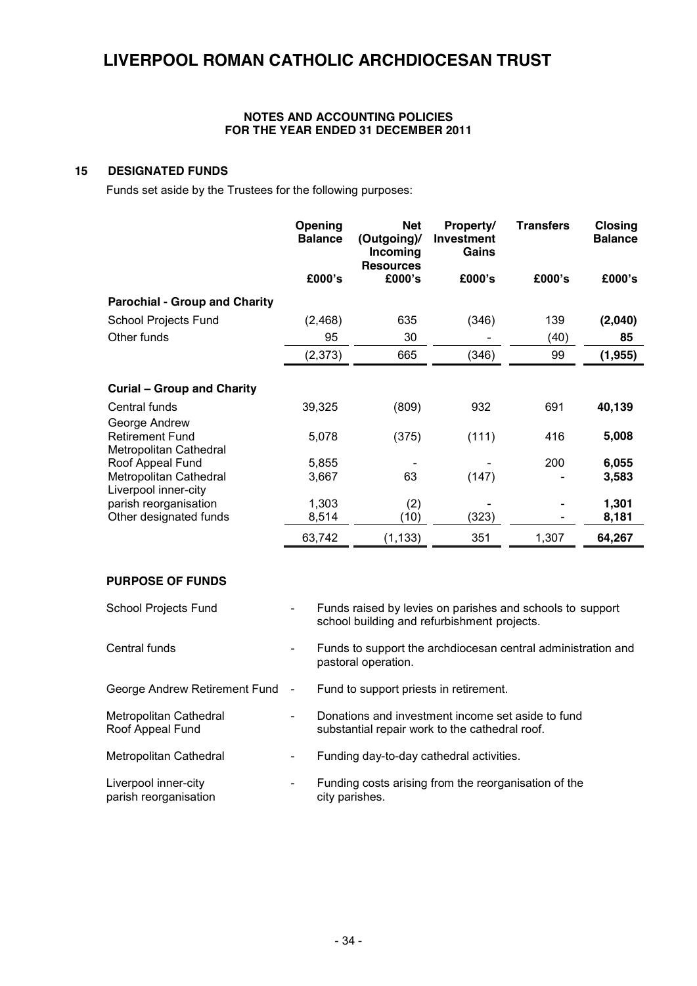# **NOTES AND ACCOUNTING POLICIES FOR THE YEAR ENDED 31 DECEMBER 2011**

# **15 DESIGNATED FUNDS**

Funds set aside by the Trustees for the following purposes:

|                                                                         | Opening<br><b>Balance</b> | <b>Net</b><br>(Outgoing)/<br>Incoming<br><b>Resources</b> | Property/<br>Investment<br>Gains | <b>Transfers</b> | <b>Closing</b><br><b>Balance</b> |  |
|-------------------------------------------------------------------------|---------------------------|-----------------------------------------------------------|----------------------------------|------------------|----------------------------------|--|
|                                                                         | £000's                    | £000's                                                    | £000's                           | £000's           | £000's                           |  |
| <b>Parochial - Group and Charity</b>                                    |                           |                                                           |                                  |                  |                                  |  |
| School Projects Fund                                                    | (2, 468)                  | 635                                                       | (346)                            | 139              | (2,040)                          |  |
| Other funds                                                             | 95                        | 30                                                        |                                  | (40)             | 85                               |  |
|                                                                         | (2, 373)                  | 665                                                       | (346)                            | 99               | (1, 955)                         |  |
| <b>Curial - Group and Charity</b>                                       |                           |                                                           |                                  |                  |                                  |  |
| Central funds                                                           | 39,325                    | (809)                                                     | 932                              | 691              | 40,139                           |  |
| George Andrew<br><b>Retirement Fund</b><br>Metropolitan Cathedral       | 5,078                     | (375)                                                     | (111)                            | 416              | 5,008                            |  |
| Roof Appeal Fund                                                        | 5,855                     |                                                           |                                  | 200              | 6,055                            |  |
| Metropolitan Cathedral                                                  | 3,667                     | 63                                                        | (147)                            |                  | 3,583                            |  |
| Liverpool inner-city<br>parish reorganisation<br>Other designated funds | 1,303<br>8,514            | (2)<br>(10)                                               | (323)                            |                  | 1,301<br>8,181                   |  |
|                                                                         | 63,742                    | (1, 133)                                                  | 351                              | 1,307            | 64,267                           |  |

# **PURPOSE OF FUNDS**

| School Projects Fund                          |                          | Funds raised by levies on parishes and schools to support<br>school building and refurbishment projects. |
|-----------------------------------------------|--------------------------|----------------------------------------------------------------------------------------------------------|
| Central funds                                 | $\overline{\phantom{a}}$ | Funds to support the archdiocesan central administration and<br>pastoral operation.                      |
| George Andrew Retirement Fund -               |                          | Fund to support priests in retirement.                                                                   |
| Metropolitan Cathedral<br>Roof Appeal Fund    |                          | Donations and investment income set aside to fund<br>substantial repair work to the cathedral roof.      |
| Metropolitan Cathedral                        | $\overline{\phantom{a}}$ | Funding day-to-day cathedral activities.                                                                 |
| Liverpool inner-city<br>parish reorganisation | $\overline{\phantom{a}}$ | Funding costs arising from the reorganisation of the<br>city parishes.                                   |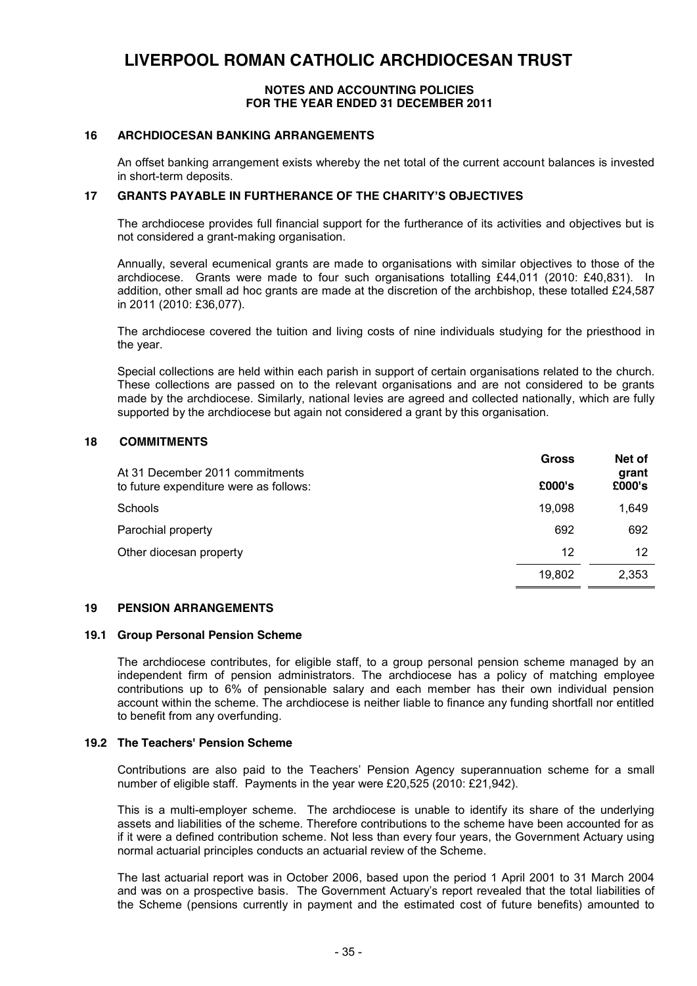#### **NOTES AND ACCOUNTING POLICIES FOR THE YEAR ENDED 31 DECEMBER 2011**

### **16 ARCHDIOCESAN BANKING ARRANGEMENTS**

An offset banking arrangement exists whereby the net total of the current account balances is invested in short-term deposits.

# **17 GRANTS PAYABLE IN FURTHERANCE OF THE CHARITY'S OBJECTIVES**

The archdiocese provides full financial support for the furtherance of its activities and objectives but is not considered a grant-making organisation.

Annually, several ecumenical grants are made to organisations with similar objectives to those of the archdiocese. Grants were made to four such organisations totalling £44,011 (2010: £40,831). In addition, other small ad hoc grants are made at the discretion of the archbishop, these totalled £24,587 in 2011 (2010: £36,077).

The archdiocese covered the tuition and living costs of nine individuals studying for the priesthood in the year.

Special collections are held within each parish in support of certain organisations related to the church. These collections are passed on to the relevant organisations and are not considered to be grants made by the archdiocese. Similarly, national levies are agreed and collected nationally, which are fully supported by the archdiocese but again not considered a grant by this organisation.

#### **18 COMMITMENTS**

| At 31 December 2011 commitments        | <b>Gross</b> | Net of<br>grant |
|----------------------------------------|--------------|-----------------|
| to future expenditure were as follows: | £000's       | £000's          |
| Schools                                | 19,098       | 1,649           |
| Parochial property                     | 692          | 692             |
| Other diocesan property                | 12           | 12              |
|                                        | 19.802       | 2,353           |

#### **19 PENSION ARRANGEMENTS**

#### **19.1 Group Personal Pension Scheme**

The archdiocese contributes, for eligible staff, to a group personal pension scheme managed by an independent firm of pension administrators. The archdiocese has a policy of matching employee contributions up to 6% of pensionable salary and each member has their own individual pension account within the scheme. The archdiocese is neither liable to finance any funding shortfall nor entitled to benefit from any overfunding.

#### **19.2 The Teachers' Pension Scheme**

Contributions are also paid to the Teachers' Pension Agency superannuation scheme for a small number of eligible staff. Payments in the year were £20,525 (2010: £21,942).

This is a multi-employer scheme. The archdiocese is unable to identify its share of the underlying assets and liabilities of the scheme. Therefore contributions to the scheme have been accounted for as if it were a defined contribution scheme. Not less than every four years, the Government Actuary using normal actuarial principles conducts an actuarial review of the Scheme.

The last actuarial report was in October 2006, based upon the period 1 April 2001 to 31 March 2004 and was on a prospective basis. The Government Actuary's report revealed that the total liabilities of the Scheme (pensions currently in payment and the estimated cost of future benefits) amounted to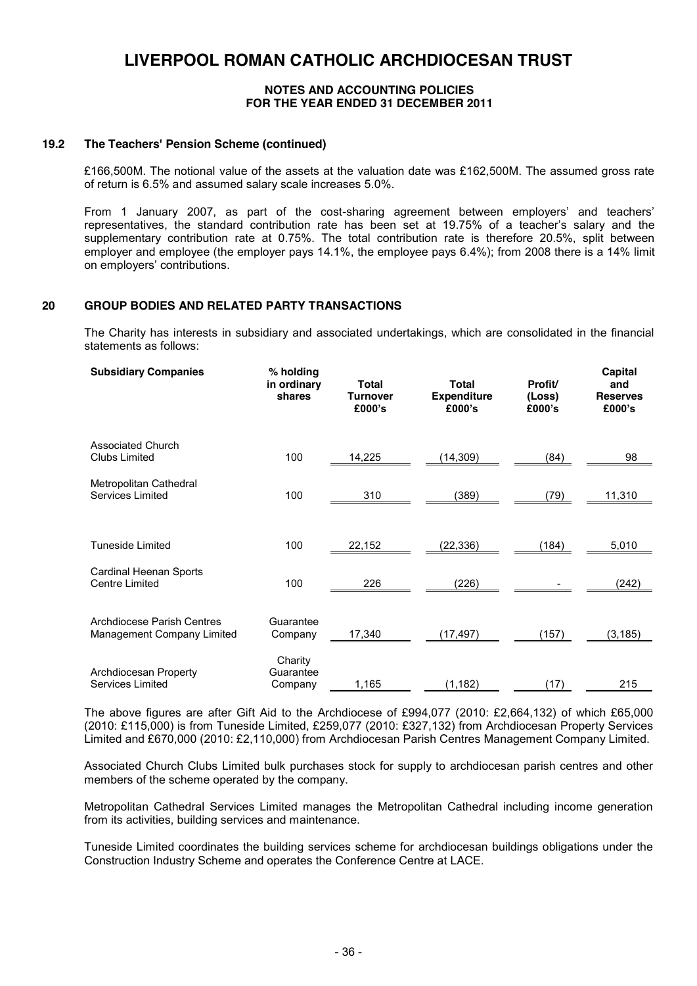### **NOTES AND ACCOUNTING POLICIES FOR THE YEAR ENDED 31 DECEMBER 2011**

### **19.2 The Teachers' Pension Scheme (continued)**

£166,500M. The notional value of the assets at the valuation date was £162,500M. The assumed gross rate of return is 6.5% and assumed salary scale increases 5.0%.

From 1 January 2007, as part of the cost-sharing agreement between employers' and teachers' representatives, the standard contribution rate has been set at 19.75% of a teacher's salary and the supplementary contribution rate at 0.75%. The total contribution rate is therefore 20.5%, split between employer and employee (the employer pays 14.1%, the employee pays 6.4%); from 2008 there is a 14% limit on employers' contributions.

### **20 GROUP BODIES AND RELATED PARTY TRANSACTIONS**

The Charity has interests in subsidiary and associated undertakings, which are consolidated in the financial statements as follows:

| <b>Subsidiary Companies</b>                              | % holding<br>in ordinary<br>shares | <b>Total</b><br><b>Turnover</b><br>£000's | Total<br><b>Expenditure</b><br>£000's | Profit/<br>(Loss)<br>£000's | <b>Capital</b><br>and<br><b>Reserves</b><br>£000's |
|----------------------------------------------------------|------------------------------------|-------------------------------------------|---------------------------------------|-----------------------------|----------------------------------------------------|
| <b>Associated Church</b><br>Clubs Limited                | 100                                | 14,225                                    | (14,309)                              | (84)                        | 98                                                 |
| Metropolitan Cathedral<br>Services Limited               | 100                                | 310                                       | (389)                                 | (79)                        | 11,310                                             |
| <b>Tuneside Limited</b>                                  | 100                                | 22,152                                    | (22,336)                              | (184)                       | 5,010                                              |
| Cardinal Heenan Sports<br><b>Centre Limited</b>          | 100                                | 226                                       | (226)                                 |                             | (242)                                              |
| Archdiocese Parish Centres<br>Management Company Limited | Guarantee<br>Company               | 17,340                                    | (17, 497)                             | (157)                       | (3, 185)                                           |
| Archdiocesan Property<br><b>Services Limited</b>         | Charity<br>Guarantee<br>Company    | 1,165                                     | (1, 182)                              | (17)                        | 215                                                |

The above figures are after Gift Aid to the Archdiocese of £994,077 (2010: £2,664,132) of which £65,000 (2010: £115,000) is from Tuneside Limited, £259,077 (2010: £327,132) from Archdiocesan Property Services Limited and £670,000 (2010: £2,110,000) from Archdiocesan Parish Centres Management Company Limited.

Associated Church Clubs Limited bulk purchases stock for supply to archdiocesan parish centres and other members of the scheme operated by the company.

Metropolitan Cathedral Services Limited manages the Metropolitan Cathedral including income generation from its activities, building services and maintenance.

Tuneside Limited coordinates the building services scheme for archdiocesan buildings obligations under the Construction Industry Scheme and operates the Conference Centre at LACE.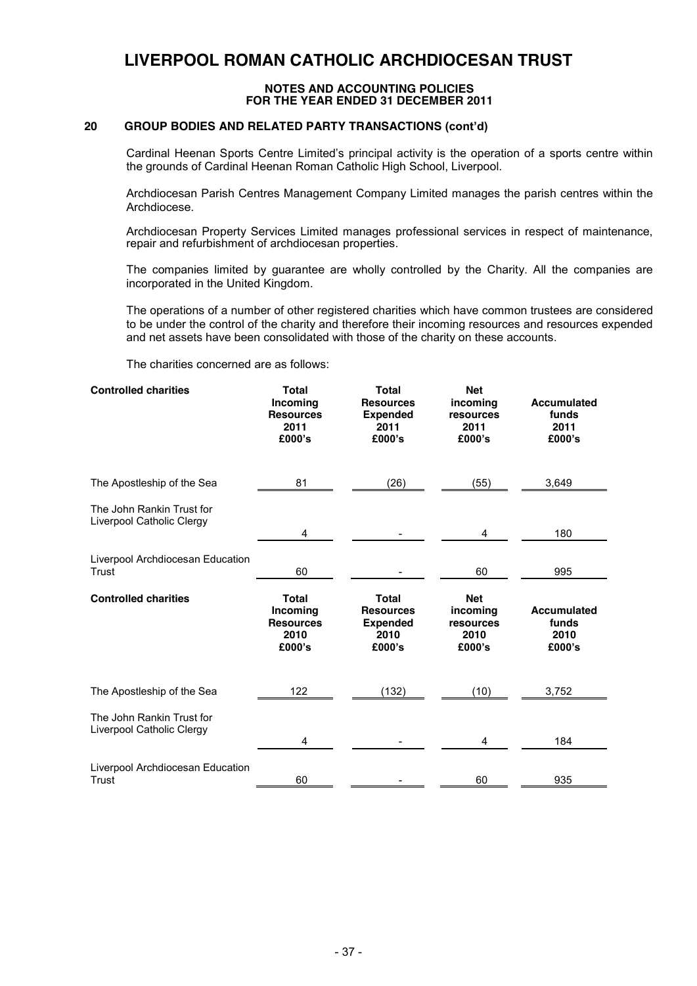#### **NOTES AND ACCOUNTING POLICIES FOR THE YEAR ENDED 31 DECEMBER 2011**

### **20 GROUP BODIES AND RELATED PARTY TRANSACTIONS (cont'd)**

Cardinal Heenan Sports Centre Limited's principal activity is the operation of a sports centre within the grounds of Cardinal Heenan Roman Catholic High School, Liverpool.

Archdiocesan Parish Centres Management Company Limited manages the parish centres within the Archdiocese.

Archdiocesan Property Services Limited manages professional services in respect of maintenance, repair and refurbishment of archdiocesan properties.

The companies limited by guarantee are wholly controlled by the Charity. All the companies are incorporated in the United Kingdom.

The operations of a number of other registered charities which have common trustees are considered to be under the control of the charity and therefore their incoming resources and resources expended and net assets have been consolidated with those of the charity on these accounts.

The charities concerned are as follows:

| <b>Controlled charities</b>                            | <b>Total</b><br>Incoming<br><b>Resources</b><br>2011<br>£000's | <b>Total</b><br><b>Resources</b><br><b>Expended</b><br>2011<br>£000's | <b>Net</b><br>incoming<br>resources<br>2011<br>£000's | <b>Accumulated</b><br>funds<br>2011<br>£000's |
|--------------------------------------------------------|----------------------------------------------------------------|-----------------------------------------------------------------------|-------------------------------------------------------|-----------------------------------------------|
| The Apostleship of the Sea                             | 81                                                             | (26)                                                                  | (55)                                                  | 3,649                                         |
| The John Rankin Trust for<br>Liverpool Catholic Clergy | 4                                                              |                                                                       | 4                                                     | 180                                           |
| Liverpool Archdiocesan Education<br>Trust              | 60                                                             |                                                                       | 60                                                    | 995                                           |
| <b>Controlled charities</b>                            | <b>Total</b><br>Incoming                                       | <b>Total</b><br><b>Resources</b>                                      | <b>Net</b><br>incoming                                | <b>Accumulated</b>                            |
|                                                        | <b>Resources</b><br>2010<br>£000's                             | <b>Expended</b><br>2010<br>£000's                                     | resources<br>2010<br>£000's                           | funds<br>2010<br>£000's                       |
| The Apostleship of the Sea                             | 122                                                            | (132)                                                                 | (10)                                                  | 3,752                                         |
| The John Rankin Trust for<br>Liverpool Catholic Clergy | $\overline{4}$                                                 |                                                                       | 4                                                     | 184                                           |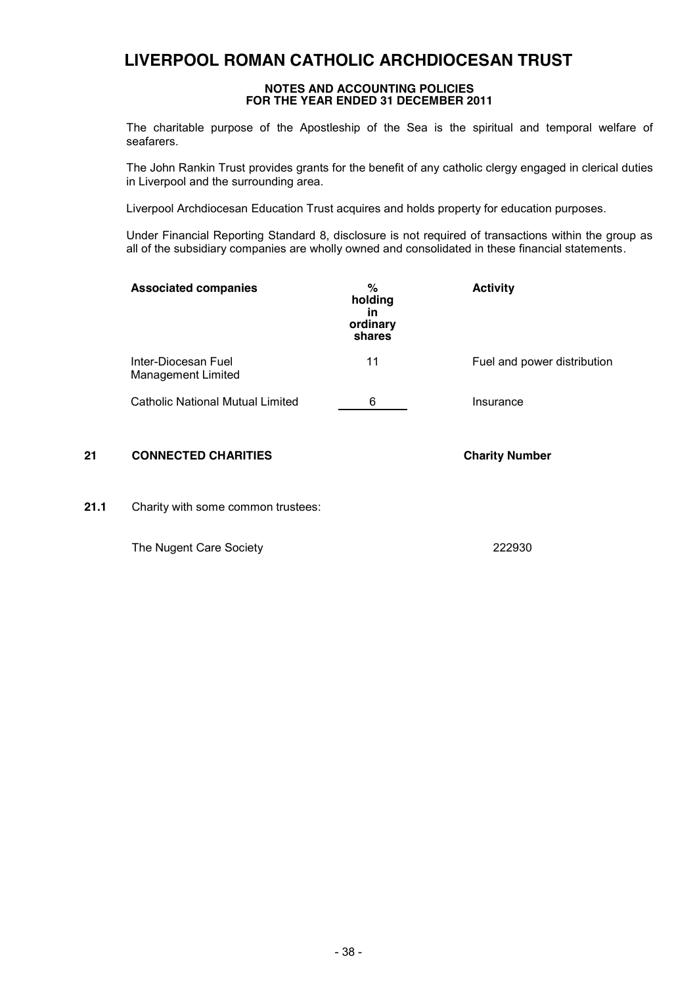#### **NOTES AND ACCOUNTING POLICIES FOR THE YEAR ENDED 31 DECEMBER 2011**

The charitable purpose of the Apostleship of the Sea is the spiritual and temporal welfare of seafarers.

The John Rankin Trust provides grants for the benefit of any catholic clergy engaged in clerical duties in Liverpool and the surrounding area.

Liverpool Archdiocesan Education Trust acquires and holds property for education purposes.

Under Financial Reporting Standard 8, disclosure is not required of transactions within the group as all of the subsidiary companies are wholly owned and consolidated in these financial statements.

| <b>Associated companies</b>                      | %<br>holding<br>in<br>ordinary<br>shares | <b>Activity</b>             |
|--------------------------------------------------|------------------------------------------|-----------------------------|
| Inter-Diocesan Fuel<br><b>Management Limited</b> | 11                                       | Fuel and power distribution |
| Catholic National Mutual Limited                 | 6                                        | Insurance                   |

# **21 CONNECTED CHARITIES Charity Number**

**21.1** Charity with some common trustees:

The Nugent Care Society **222930**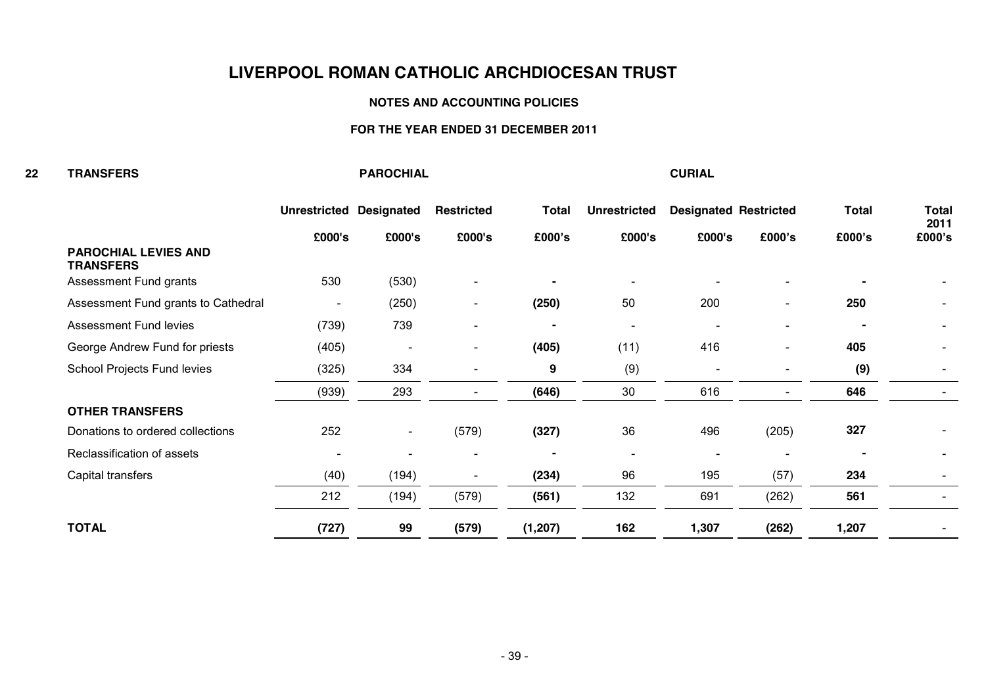# **NOTES AND ACCOUNTING POLICIES**

# **FOR THE YEAR ENDED 31 DECEMBER 2011**

| 22 | <b>TRANSFERS</b>                                | <b>PAROCHIAL</b>    |                          |                          |              | <b>CURIAL</b>       |                              |                          |              |                          |  |
|----|-------------------------------------------------|---------------------|--------------------------|--------------------------|--------------|---------------------|------------------------------|--------------------------|--------------|--------------------------|--|
|    |                                                 | <b>Unrestricted</b> | <b>Designated</b>        | Restricted               | <b>Total</b> | <b>Unrestricted</b> | <b>Designated Restricted</b> |                          | <b>Total</b> | <b>Total</b>             |  |
|    |                                                 | £000's              | £000's                   | £000's                   | £000's       | £000's              | £000's                       | £000's                   | £000's       | 2011<br>£000's           |  |
|    | <b>PAROCHIAL LEVIES AND</b><br><b>TRANSFERS</b> |                     |                          |                          |              |                     |                              |                          |              |                          |  |
|    | Assessment Fund grants                          | 530                 | (530)                    | $\blacksquare$           |              |                     |                              |                          |              |                          |  |
|    | Assessment Fund grants to Cathedral             |                     | (250)                    | $\blacksquare$           | (250)        | 50                  | 200                          | $\overline{\phantom{a}}$ | 250          | $\overline{\phantom{0}}$ |  |
|    | <b>Assessment Fund levies</b>                   | (739)               | 739                      | $\overline{\phantom{a}}$ |              |                     |                              |                          |              | $\overline{\phantom{a}}$ |  |
|    | George Andrew Fund for priests                  | (405)               |                          |                          | (405)        | (11)                | 416                          | $\overline{\phantom{a}}$ | 405          |                          |  |
|    | School Projects Fund levies                     | (325)               | 334                      | $\blacksquare$           | 9            | (9)                 |                              | $\overline{\phantom{a}}$ | (9)          |                          |  |
|    |                                                 | (939)               | 293                      |                          | (646)        | 30                  | 616                          | $\overline{\phantom{0}}$ | 646          |                          |  |
|    | <b>OTHER TRANSFERS</b>                          |                     |                          |                          |              |                     |                              |                          |              |                          |  |
|    | Donations to ordered collections                | 252                 | $\overline{\phantom{a}}$ | (579)                    | (327)        | 36                  | 496                          | (205)                    | 327          |                          |  |
|    | Reclassification of assets                      |                     |                          |                          |              |                     |                              |                          |              |                          |  |
|    | Capital transfers                               | (40)                | (194)                    |                          | (234)        | 96                  | 195                          | (57)                     | 234          |                          |  |
|    |                                                 | 212                 | (194)                    | (579)                    | (561)        | 132                 | 691                          | (262)                    | 561          |                          |  |
|    | <b>TOTAL</b>                                    | (727)               | 99                       | (579)                    | (1, 207)     | 162                 | 1,307                        | (262)                    | 1,207        |                          |  |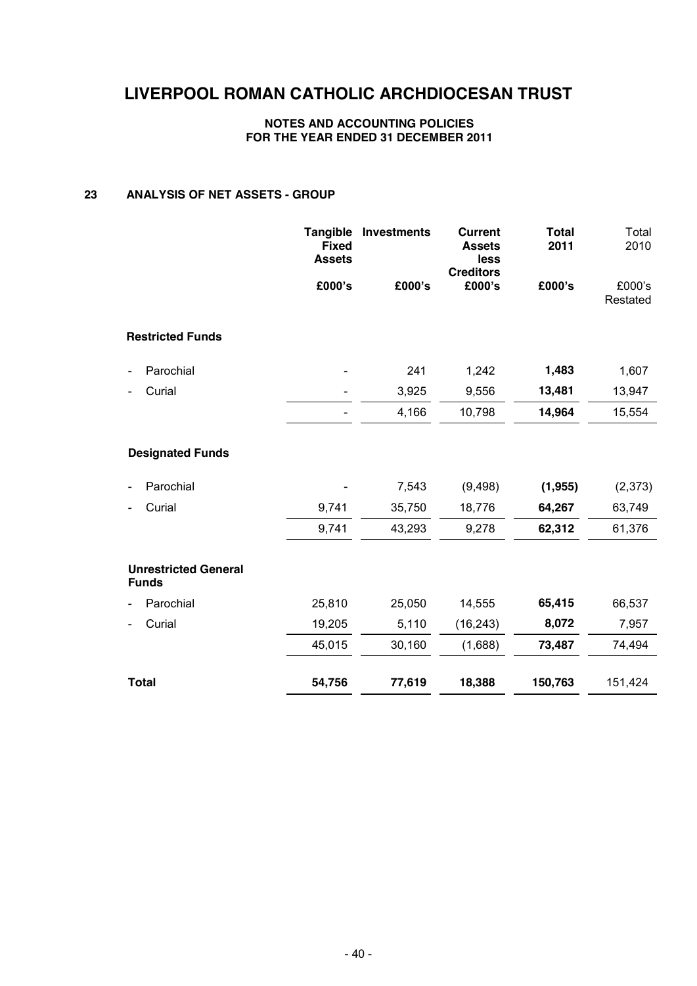# **NOTES AND ACCOUNTING POLICIES FOR THE YEAR ENDED 31 DECEMBER 2011**

# **23 ANALYSIS OF NET ASSETS - GROUP**

|                                             | <b>Tangible</b><br><b>Fixed</b><br><b>Assets</b> | <b>Investments</b> | <b>Current</b><br><b>Assets</b><br>less<br><b>Creditors</b> | <b>Total</b><br>2011 | Total<br>2010      |
|---------------------------------------------|--------------------------------------------------|--------------------|-------------------------------------------------------------|----------------------|--------------------|
|                                             | £000's                                           | £000's             | £000's                                                      | £000's               | £000's<br>Restated |
| <b>Restricted Funds</b>                     |                                                  |                    |                                                             |                      |                    |
| Parochial                                   |                                                  | 241                | 1,242                                                       | 1,483                | 1,607              |
| Curial                                      |                                                  | 3,925              | 9,556                                                       | 13,481               | 13,947             |
|                                             |                                                  | 4,166              | 10,798                                                      | 14,964               | 15,554             |
| <b>Designated Funds</b>                     |                                                  |                    |                                                             |                      |                    |
| Parochial                                   |                                                  | 7,543              | (9, 498)                                                    | (1, 955)             | (2, 373)           |
| Curial                                      | 9,741                                            | 35,750             | 18,776                                                      | 64,267               | 63,749             |
|                                             | 9,741                                            | 43,293             | 9,278                                                       | 62,312               | 61,376             |
| <b>Unrestricted General</b><br><b>Funds</b> |                                                  |                    |                                                             |                      |                    |
| Parochial                                   | 25,810                                           | 25,050             | 14,555                                                      | 65,415               | 66,537             |
| Curial                                      | 19,205                                           | 5,110              | (16, 243)                                                   | 8,072                | 7,957              |
|                                             | 45,015                                           | 30,160             | (1,688)                                                     | 73,487               | 74,494             |
| <b>Total</b>                                | 54,756                                           | 77,619             | 18,388                                                      | 150,763              | 151,424            |